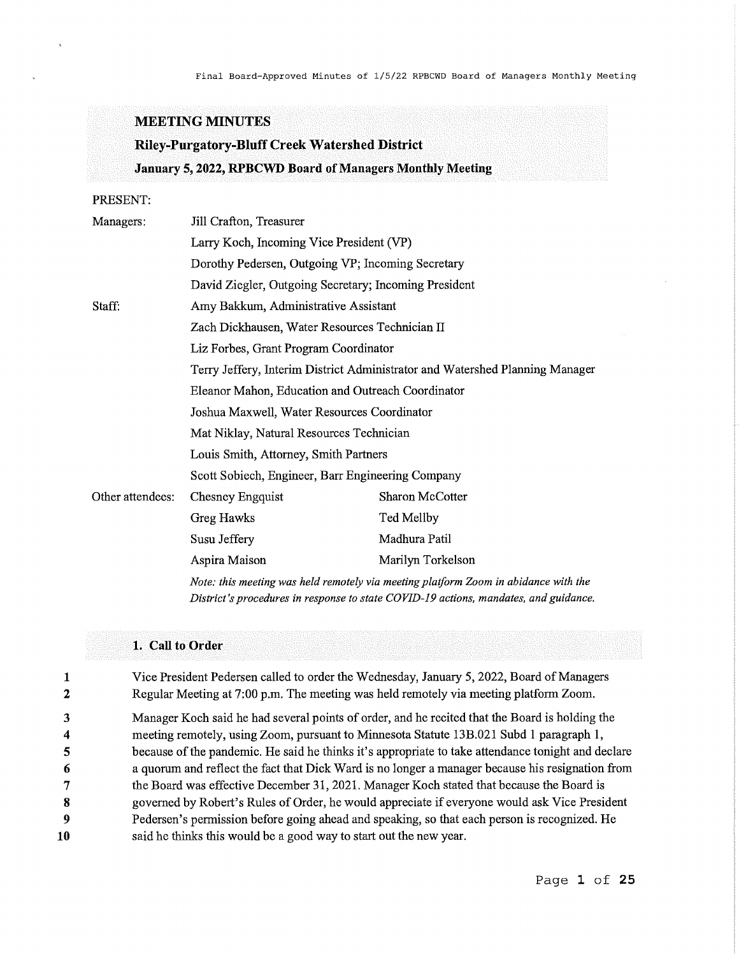# **MEETING MINUTES**

# **Riley-Purgatory-Bluff Creek Watershed District January 5, 2022, RPBCWD Board of Managers Monthly Meeting**

# PRESENT:

| Managers:        | Jill Crafton, Treasurer                                                                                                                                                     |                   |  |
|------------------|-----------------------------------------------------------------------------------------------------------------------------------------------------------------------------|-------------------|--|
|                  | Larry Koch, Incoming Vice President (VP)                                                                                                                                    |                   |  |
|                  | Dorothy Pedersen, Outgoing VP; Incoming Secretary                                                                                                                           |                   |  |
|                  | David Ziegler, Outgoing Secretary; Incoming President                                                                                                                       |                   |  |
| Staff:           | Amy Bakkum, Administrative Assistant                                                                                                                                        |                   |  |
|                  | Zach Dickhausen, Water Resources Technician II                                                                                                                              |                   |  |
|                  | Liz Forbes, Grant Program Coordinator                                                                                                                                       |                   |  |
|                  | Terry Jeffery, Interim District Administrator and Watershed Planning Manager                                                                                                |                   |  |
|                  | Eleanor Mahon, Education and Outreach Coordinator                                                                                                                           |                   |  |
|                  | Joshua Maxwell, Water Resources Coordinator                                                                                                                                 |                   |  |
|                  | Mat Niklay, Natural Resources Technician                                                                                                                                    |                   |  |
|                  | Louis Smith, Attorney, Smith Partners                                                                                                                                       |                   |  |
|                  | Scott Sobiech, Engineer, Barr Engineering Company                                                                                                                           |                   |  |
| Other attendees: | Chesney Engquist                                                                                                                                                            | Sharon McCotter   |  |
|                  | Greg Hawks                                                                                                                                                                  | Ted Mellby        |  |
|                  | Susu Jeffery                                                                                                                                                                | Madhura Patil     |  |
|                  | Aspira Maison                                                                                                                                                               | Marilyn Torkelson |  |
|                  | Note: this meeting was held remotely via meeting platform Zoom in abidance with the<br>District's procedures in response to state COVID-19 actions, mandates, and guidance, |                   |  |

# **1. Call to Order**

**1**  2 3 **4**  5 **6**  7 **8 9 10**  Vice President Pedersen called to order the Wednesday, January 5, 2022, Board of Managers Regular Meeting at 7:00 p.m. The meeting was held remotely via meeting platform Zoom. Manager Koch said he had several points of order, and he recited that the Board is holding the meeting remotely, using Zoom, pursuant to Minnesota Statute 13B.021 Subd 1 paragraph 1, because of the pandemic. He said he thinks it's appropriate to take attendance tonight and declare a quorum and reflect the fact that Dick Ward is no longer a manager because his resignation from the Board was effective December 31, 2021. Manager Koch stated that because the Board is governed by Robert's Rules of Order, he would appreciate if everyone would ask Vice President Pedersen's permission before going ahead and speaking, so that each person is recognized. He said he thinks this would be a good way to start out the new year.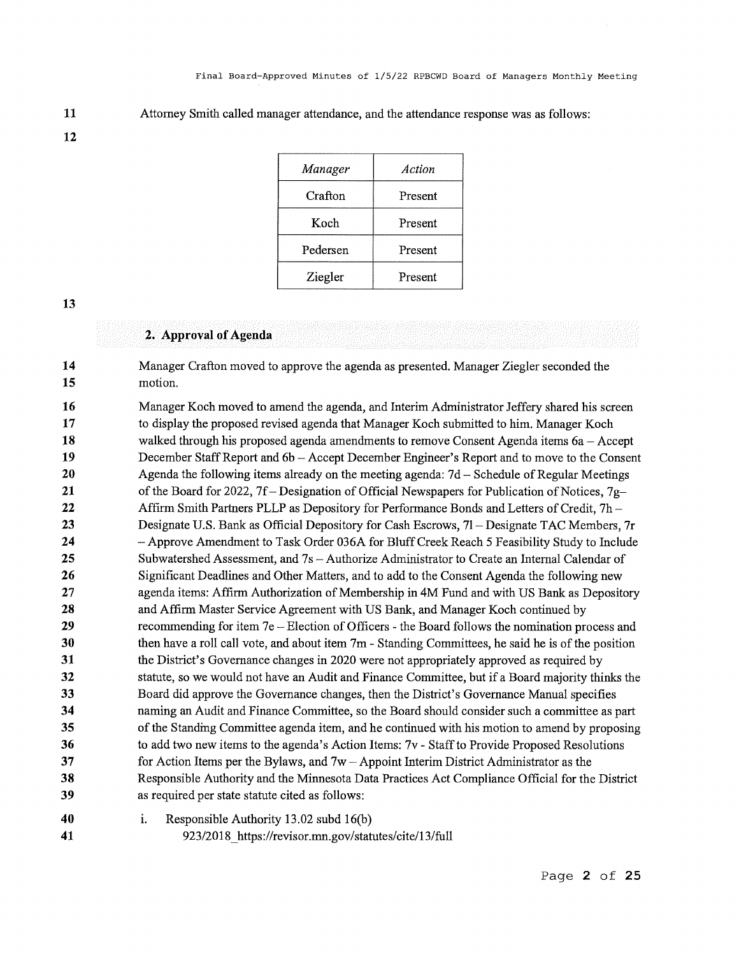**11**  Attorney Smith called manager attendance, and the attendance response was as follows:

**12** 

| Manager  | Action  |
|----------|---------|
| Crafton  | Present |
| Koch     | Present |
| Pedersen | Present |
| Ziegler  | Present |

**13** 

**41** 

### **2. Approval of Agenda**

**14 15**  Manager Crafton moved to approve the agenda as presented. Manager Ziegler seconded the motion.

**16 17 18 19 20 21 22 23 24 25 26 27 28 29 30 31 32 33 34 35 36 37 38 39**  Manager Koch moved to amend the agenda, and Interim Administrator Jeffery shared his screen to display the proposed revised agenda that Manager Koch submitted to him. Manager Koch walked through his proposed agenda amendments to remove Consent Agenda items 6a – Accept December Staff Report and 6b-Accept December Engineer's Report and to move to the Consent Agenda the following items already on the meeting agenda: 7d- Schedule of Regular Meetings of the Board for 2022, 7f- Designation of Official Newspapers for Publication of Notices, 7g-Affinn Smith Partners PLLP as Depository for Performance Bonds and Letters of Credit, 7h - Designate U.S. Bank as Official Depository for Cash Escrows, 71- Designate TAC Members, 7r - Approve Amendment to Task Order 036A for Bluff Creek Reach 5 Feasibility Study to Include Subwatershed Assessment, and 7s -Authorize Administrator to Create an Internal Calendar of Significant Deadlines and Other Matters, and to add to the Consent Agenda the following new agenda items: Affirm Authorization of Membership in 4M Fund and with US Bank as Depository and Affirm Master Service Agreement with US Bank, and Manager Koch continued by recommending for item 7e - Election of Officers - the Board follows the nomination process and then have a roll call vote, and about item 7m - Standing Committees, he said he is of the position the District's Governance changes in 2020 were not appropriately approved as required by statute, so we would not have an Audit and Finance Committee, but if a Board majority thinks the Board did approve the Governance changes, then the District's Governance Manual specifies naming an Audit and Finance Committee, so the Board should consider such a committee as part of the Standing Committee agenda item, and he continued with his motion to amend by proposing to add two new items to the agenda's Action Items: 7v - Staff to Provide Proposed Resolutions for Action Items per the Bylaws, and  $7w -$ Appoint Interim District Administrator as the Responsible Authority and the Minnesota Data Practices Act Compliance Official for the District as required per state statute cited as follows:



923/2018 https://revisor.mn.gov/statutes/cite/13/full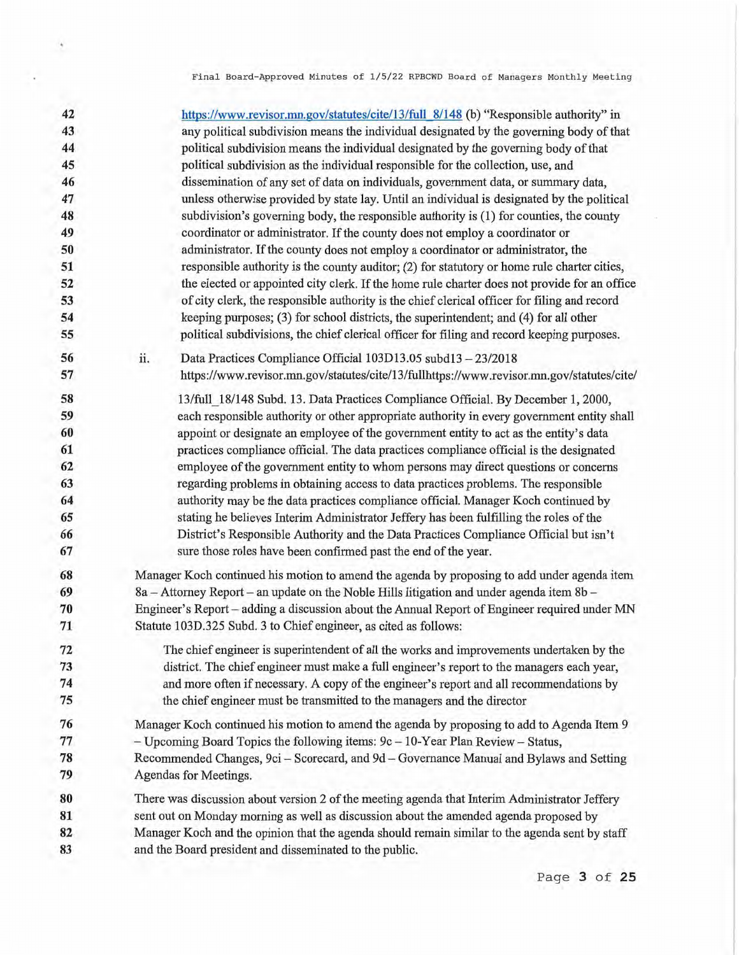**42 43 44 45 46 47 48 49 50 51 52 53 54 55 56 57 58 59 60 61 62 63 64 65 66 67 68 69 70 71 72 73 74 75 76 77 78 79 80 81 82 83 11.**  https://www.revisor.mn.gov/statutes/cite/13/full 8/148 (b) "Responsible authority" in any political subdivision means the individual designated by the governing body of that political subdivision means the individual designated by the governing body of that political subdivision as the individual responsible for the collection, use, and dissemination of any set of data on individuals, government data, or summary data, unless otherwise provided by state lay. Until an individual is designated by the political subdivision's governing body, the responsible authority is **(1)** for counties, the county coordinator or administrator. If the county does not employ a coordinator or administrator. If the county does not employ a coordinator or administrator, the responsible authority is the county auditor; (2) for statutory or home rule charter cities, the elected or appointed city clerk. If the home rule charter does not provide for an office of city clerk, the responsible authority is the chief clerical officer for filing and record keeping purposes; (3) for school districts, the superintendent; and (4) for all other political subdivisions, the chief clerical officer for filing and record keeping purposes. Data Practices Compliance Official 103D13.05 subd13 - 23/2018 https://www.revisor.mn.gov/statutes/cite/13/fullhttps://www.revisor.mn.gov/statutes/cite/ 13/full\_18/148 Subd. 13. Data Practices Compliance Official. By December **1,** 2000, each responsible authority or other appropriate authority in every government entity shall appoint or designate an employee of the government entity to act as the entity's data practices compliance official. The data practices compliance official is the designated employee of the government entity to whom persons may direct questions or concerns regarding problems in obtaining access to data practices problems. The responsible authority may be the data practices compliance official. Manager Koch continued by stating he believes Interim Administrator Jeffery has been fulfilling the roles of the District's Responsible Authority and the Data Practices Compliance Official but isn't sure those roles have been confirmed past the end of the year. Manager Koch continued his motion to amend the agenda by proposing to add under agenda item 8a - Attorney Report - an update on the Noble Hills litigation and under agenda item 8b -Engineer's Report - adding a discussion about the Annual Report of Engineer required under MN Statute 103D.325 Subd. 3 to Chief engineer, as cited as follows: The chief engineer is superintendent of all the works and improvements undertaken by the district. The chief engineer must make a full engineer's report to the managers each year, and more often if necessary. A copy of the engineer's report and all recommendations by the chief engineer must be transmitted to the managers and the director Manager Koch continued his motion to amend the agenda by proposing to add to Agenda Item 9 - Upcoming Board Topics the following items: 9c-10-Year Plan Review- Status, Recommended Changes, 9ci - Scorecard, and 9d - Governance Manual and Bylaws and Setting Agendas for Meetings. There was discussion about version 2 of the meeting agenda that Interim Administrator Jeffery sent out on Monday morning as well as discussion about the amended agenda proposed by Manager Koch and the opinion that the agenda should remain similar to the agenda sent by staff and the Board president and disseminated to the public.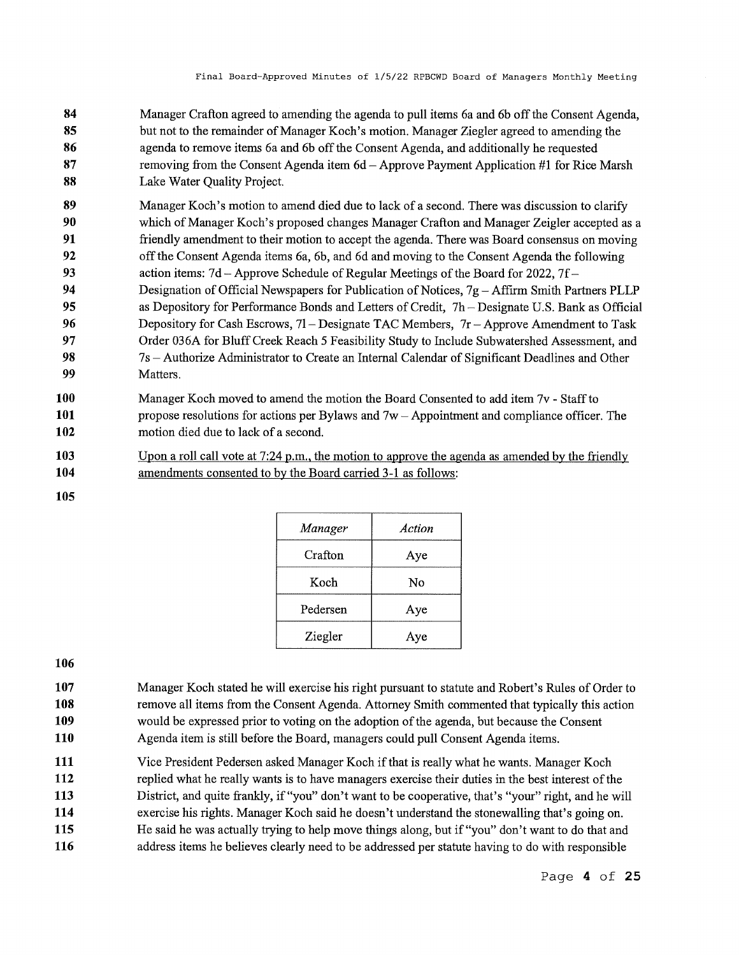- **84 85 86 87 88**  Manager Crafton agreed to amending the agenda to pull items 6a and 6b off the Consent Agenda, but not to the remainder of Manager Koch's motion. Manager Ziegler agreed to amending the agenda to remove items 6a and 6b off the Consent Agenda, and additionally he requested removing from the Consent Agenda item 6d-Approve Payment Application #1 for Rice Marsh Lake Water Quality Project.
- **89 90 91**  Manager Koch's motion to amend died due to lack of a second. There was discussion to clarify which of Manager Koch's proposed changes Manager Crafton and Manager Zeigler accepted as a friendly amendment to their motion to accept the agenda. There was Board consensus on moving
- **92**  off the Consent Agenda items 6a, 6b, and 6d and moving to the Consent Agenda the following
- **93**  action items: 7d-Approve Schedule of Regular Meetings of the Board for 2022, 7f-
- **94 95 96 97 98 99**  Designation of Official Newspapers for Publication of Notices,  $7g - Affirm$  Smith Partners PLLP as Depository for Performance Bonds and Letters of Credit, 7h – Designate U.S. Bank as Official Depository for Cash Escrows,  $71 -$ Designate TAC Members,  $7r -$ Approve Amendment to Task Order 036A for Bluff Creek Reach 5 Feasibility Study to Include Subwatershed Assessment, and 7s -Authorize Administrator to Create an Internal Calendar of Significant Deadlines and Other Matters.
- **100 101 102**  Manager Koch moved to amend the motion the Board Consented to add item 7v - Staff to propose resolutions for actions per Bylaws and  $7w -$ Appointment and compliance officer. The motion died due to lack of a second.
- **103 104**  Upon a roll call vote at  $7:24$  p.m., the motion to approve the agenda as amended by the friendly amendments consented to by the Board carried 3-1 as follows:
- **105**

| Manager  | Action |
|----------|--------|
| Crafton  | Aye    |
| Koch     | No     |
| Pedersen | Aye    |
| Ziegler  | Aye    |

- **107 108 109 110**  Manager Koch stated he will exercise his right pursuant to statute and Robert's Rules of Order to remove all items from the Consent Agenda. Attorney Smith commented that typically this action would be expressed prior to voting on the adoption of the agenda, but because the Consent Agenda item is still before the Board, managers could pull Consent Agenda items.
- **111**  Vice President Pedersen asked Manager Koch if that is really what he wants. Manager Koch
- **112 113**  replied what he really wants is to have managers exercise their duties in the best interest of the District, and quite frankly, if "you" don't want to be cooperative, that's "your" right, and he will
- **114**  exercise his rights. Manager Koch said he doesn't understand the stonewalling that's going on.
- **115**  He said he was actually trying to help move things along, but if "you" don't want to do that and
- **116**  address items he believes clearly need to be addressed per statute having to do with responsible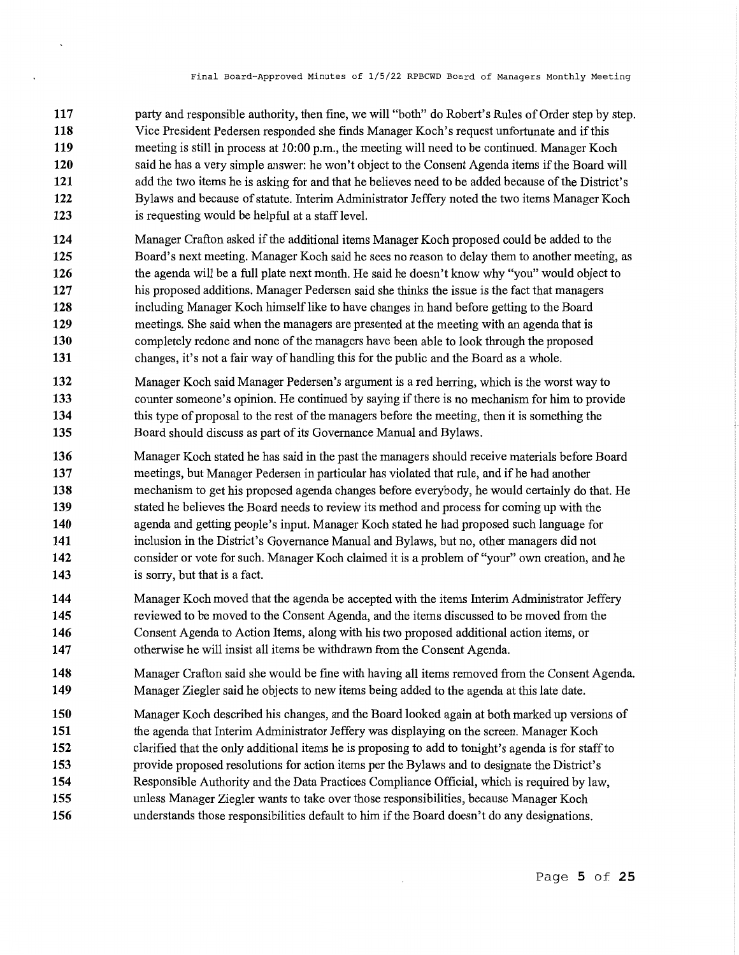- **117 118 119 120 121 122 123**  party and responsible authority, then fine, we will "both" do Robert's Rules of Order step by step. Vice President Pedersen responded she finds Manager Koch's request unfortunate and if this meeting is still in process at 10:00 p.m., the meeting will need to be continued. Manager Koch said he has a very simple answer: he won't object to the Consent Agenda items if the Board will add the two items he is asking for and that he believes need to be added because of the District's Bylaws and because of statute. Interim Administrator Jeffery noted the two items Manager Koch is requesting would be helpful at a staff level.
- **124 125 126 127 128 129 130 131**  Manager Crafton asked if the additional items Manager Koch proposed could be added to the Board's next meeting. Manager Koch said he sees no reason to delay them to another meeting, as the agenda will be a full plate next month. He said he doesn't know why "you" would object to his proposed additions. Manager Pedersen said she thinks the issue is the fact that managers including Manager Koch himself like to have changes in hand before getting to the Board meetings. She said when the managers are presented at the meeting with an agenda that is completely redone and none of the managers have been able to look through the proposed changes, it's not a fair way of handling this for the public and the Board as a whole.
- **132 133 134 135**  Manager Koch said Manager Pedersen's argument is a red herring, which is the worst way to counter someone's opinion. He continued by saying ifthere is no mechanism for him to provide this type of proposal to the rest of the managers before the meeting, then it is something the Board should discuss as part of its Governance Manual and Bylaws.
- **136 137 138 139 140 141 142 143**  Manager Koch stated he has said in the past the managers should receive materials before Board meetings, but Manager Pedersen in particular has violated that rule, and if he had another mechanism to get his proposed agenda changes before everybody, he would certainly do that. He stated he believes the Board needs to review its method and process for coming up with the agenda and getting people's input. Manager Koch stated he had proposed such language for inclusion in the District's Governance Manual and Bylaws, but no, other managers did not consider or vote for such. Manager Koch claimed it is a problem of "your" own creation, and he is sorry, but that is a fact.
- **144 145 146 147**  Manager Koch moved that the agenda be accepted with the items Interim Administrator Jeffery reviewed to be moved to the Consent Agenda, and the items discussed to be moved from the Consent Agenda to Action Items, along with his two proposed additional action items, or otherwise he will insist all items be withdrawn from the Consent Agenda.
- **148 149**  Manager Crafton said she would be fine with having all items removed from the Consent Agenda. Manager Ziegler said he objects to new items being added to the agenda at this late date.
- **150**  Manager Koch described his changes, and the Board looked again at both marked up versions of
- **151**  the agenda that Interim Administrator Jeffery was displaying on the screen. Manager Koch
- **152**  clarified that the only additional items he is proposing to add to tonight's agenda is for staff to provide proposed resolutions for action items per the Bylaws and to designate the District's
- **153**
- **154 155**  Responsible Authority and the Data Practices Compliance Official, which is required by law, unless Manager Ziegler wants to take over those responsibilities, because Manager Koch
- **156**  understands those responsibilities default to him if the Board doesn't do any designations.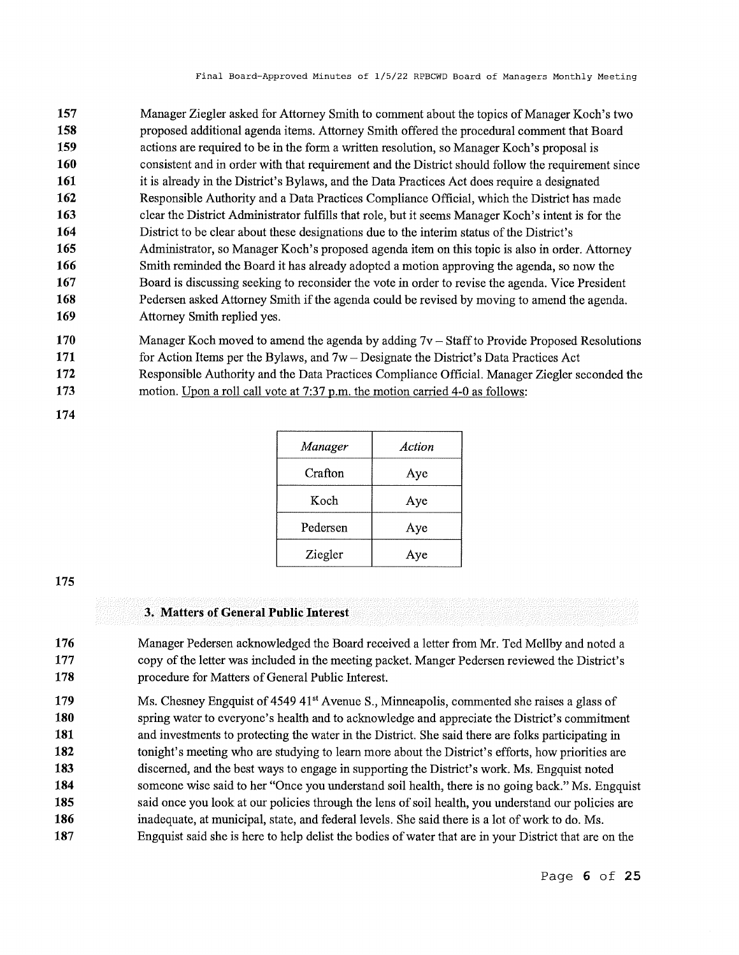| 157 | Manager Ziegler asked for Attorney Smith to comment about the topics of Manager Koch's two         |
|-----|----------------------------------------------------------------------------------------------------|
| 158 | proposed additional agenda items. Attorney Smith offered the procedural comment that Board         |
| 159 | actions are required to be in the form a written resolution, so Manager Koch's proposal is         |
| 160 | consistent and in order with that requirement and the District should follow the requirement since |
| 161 | it is already in the District's Bylaws, and the Data Practices Act does require a designated       |
| 162 | Responsible Authority and a Data Practices Compliance Official, which the District has made        |
| 163 | clear the District Administrator fulfills that role, but it seems Manager Koch's intent is for the |
| 164 | District to be clear about these designations due to the interim status of the District's          |
| 165 | Administrator, so Manager Koch's proposed agenda item on this topic is also in order. Attorney     |
| 166 | Smith reminded the Board it has already adopted a motion approving the agenda, so now the          |
| 167 | Board is discussing seeking to reconsider the vote in order to revise the agenda. Vice President   |
| 168 | Pedersen asked Attorney Smith if the agenda could be revised by moving to amend the agenda.        |
| 169 | Attorney Smith replied yes.                                                                        |
|     |                                                                                                    |

- **170 171 172**  Manager Koch moved to amend the agenda by adding  $7v -$  Staff to Provide Proposed Resolutions for Action Items per the Bylaws, and 7w- Designate the District's Data Practices Act Responsible Authority and the Data Practices Compliance Official. Manager Ziegler seconded the
- **173**  motion. Upon a roll call vote at 7:37 p.m. the motion carried 4-0 as follows:
- **174**

| Manager  | Action |
|----------|--------|
| Crafton  | Aye    |
| Koch     | Aye    |
| Pedersen | Aye    |
| Ziegler  | Aye    |

# **3. Matters of General Public Interest**

**176 177 178**  Manager Pedersen acknowledged the Board received a letter from Mr. Ted Mellby and noted a copy of the letter was included in the meeting packet. Manger Pedersen reviewed the District's procedure for Matters of General Public Interest.

**179 180 181 182 183 184 185 186 187**  Ms. Chesney Engquist of 4549 41<sup>st</sup> Avenue S., Minneapolis, commented she raises a glass of spring water to everyone's health and to acknowledge and appreciate the District's commitment and investments to protecting the water in the District. She said there are folks participating in tonight's meeting who are studying to learn more about the District's efforts, how priorities are discerned, and the best ways to engage in supporting the District's work. Ms. Engquist noted someone wise said to her "Once you understand soil health, there is no going back." Ms. Engquist said once you look at our policies through the lens of soil health, you understand our policies are inadequate, at municipal, state, and federal levels. She said there is a lot of work to do. Ms. Engquist said she is here to help delist the bodies of water that are in your District that are on the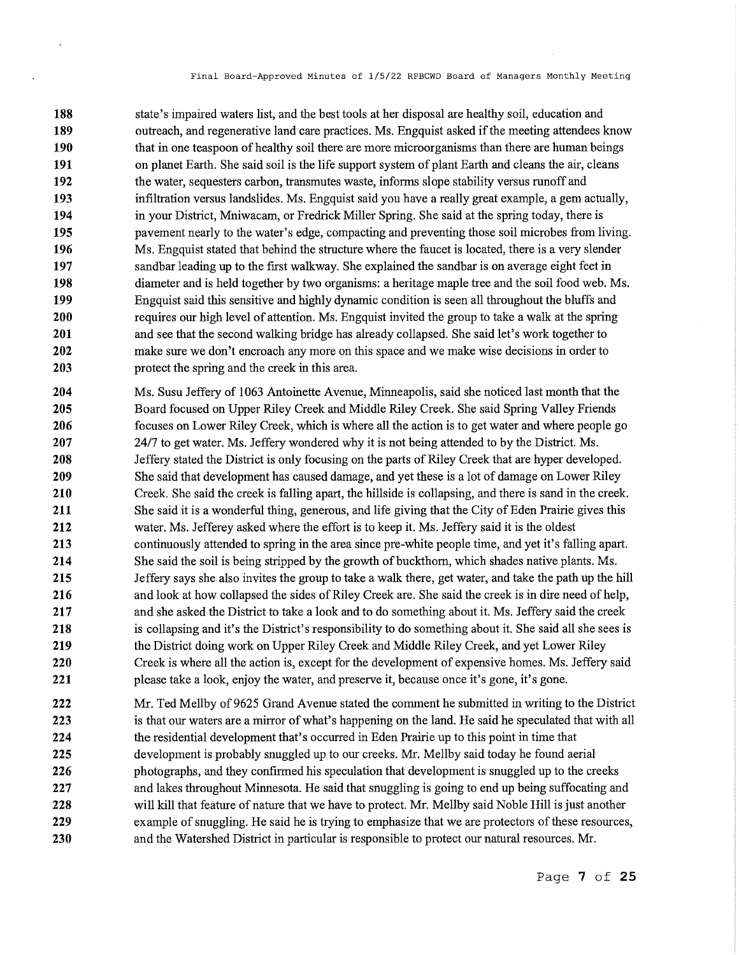**188 189 190 191 192 193 194 195 196 197 198 199 200 201 202 203**  state's impaired waters list, and the best tools at her disposal are healthy soil, education and outreach, and regenerative land care practices. Ms. Engquist asked if the meeting attendees know that in one teaspoon of healthy soil there are more microorganisms than there are human beings on planet Earth. She said soil is the life support system of plant Earth and cleans the air, cleans the water, sequesters carbon, transmutes waste, informs slope stability versus runoff and infiltration versus landslides. Ms. Engquist said you have a really great example, a gem actually, in your District, Mniwacam, or Fredrick Miller Spring. She said at the spring today, there is pavement nearly to the water's edge, compacting and preventing those soil microbes from living. Ms. Engquist stated that behind the structure where the faucet is located, there is a very slender sandbar leading up to the first walkway. She explained the sandbar is on average eight feet in diameter and is held together by two organisms: a heritage maple tree and the soil food web. Ms. Engquist said this sensitive and highly dynamic condition is seen all throughout the bluffs and requires our high level of attention. Ms. Engquist invited the group to take a walk at the spring and see that the second walking bridge has already collapsed. She said let's work together to make sure we don't encroach any more on this space and we make wise decisions in order to protect the spring and the creek in this area.

 $\ddot{\phantom{1}}$ 

**204 205 206 207 208 209 210 211 212 213 214 215 216 217 218 219 220 221**  Ms. Susu Jeffery of 1063 Antoinette Avenue, Minneapolis, said she noticed last month that the Board focused on Upper Riley Creek and Middle Riley Creek. She said Spring Valley Friends focuses on Lower Riley Creek, which is where all the action is to get water and where people go 24/7 to get water. Ms. Jeffery wondered why it is not being attended to by the District. Ms. Jeffery stated the District is only focusing on the parts of Riley Creek that are hyper developed. She said that development has caused damage, and yet these is a lot of damage on Lower Riley Creek. She said the creek is falling apart, the hillside is collapsing, and there is sand in the creek. She said it is a wonderful thing, generous, and life giving that the City of Eden Prairie gives this water. Ms. Jefferey asked where the effort is to keep it. Ms. Jeffery said it is the oldest continuously attended to spring in the area since pre-white people time, and yet it's falling apart. She said the soil is being stripped by the growth of buckthom, which shades native plants. Ms. Jeffery says she also invites the group to take a walk there, get water, and take the path up the hill and look at how collapsed the sides of Riley Creek are. She said the creek is in dire need of help, and she asked the District to take a look and to do something about it. Ms. Jeffery said the creek is collapsing and it's the District's responsibility to do something about it. She said all she sees is the District doing work on Upper Riley Creek and Middle Riley Creek, and yet Lower Riley Creek is where all the action is, except for the development of expensive homes. Ms. Jeffery said please take a look, enjoy the water, and preserve it, because once it's gone, it's gone.

**222 223 224 225 226 227 228 229 230**  Mr. Ted Mellby of 9625 Grand Avenue stated the comment he submitted in writing to the District is that our waters are a mirror of what's happening on the land. He said he speculated that with all the residential development that's occurred in Eden Prairie up to this point in time that development is probably snuggled up to our creeks. Mr. Mellby said today he found aerial photographs, and they confirmed his speculation that development is snuggled up to the creeks and lakes throughout Minnesota. He said that snuggling is going to end up being suffocating and will kill that feature of nature that we have to protect. Mr. Mellby said Noble Hill is just another example of snuggling. He said he is trying to emphasize that we are protectors of these resources, and the Watershed District in particular is responsible to protect our natural resources. Mr.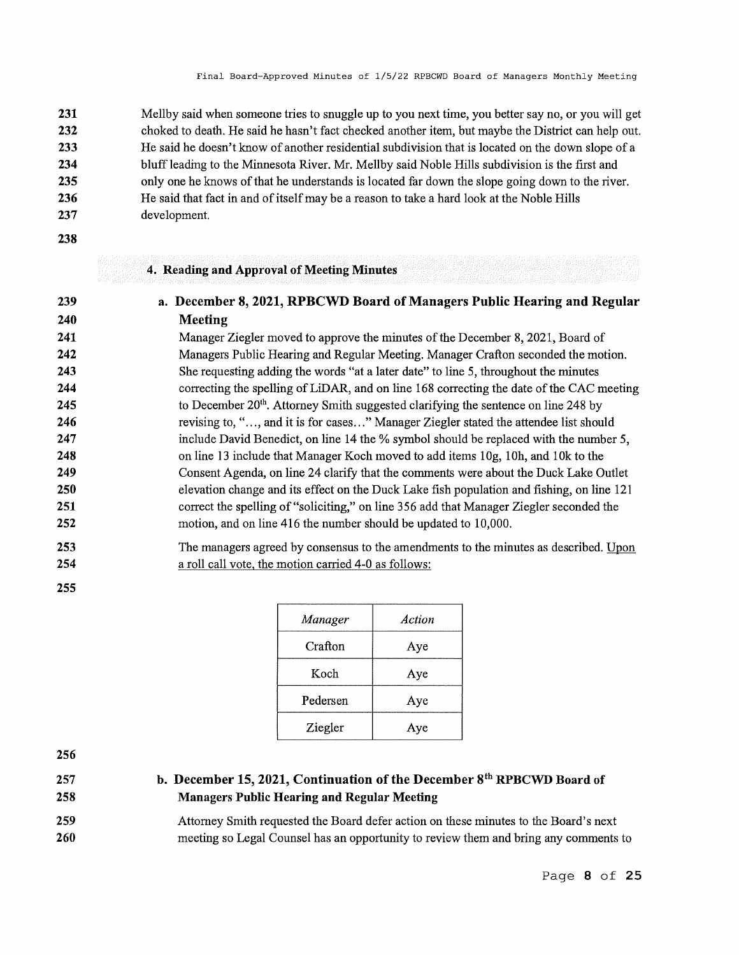**231 232 233 234 235 236 237**  Mellby said when someone tries to snuggle up to you next time, you better say no, or you will get choked to death. He said he hasn't fact checked another item, but maybe the District can help out. He said he doesn't know of another residential subdivision that is located on the down slope of a bluff leading to the Minnesota River. Mr. Mellby said Noble Hills subdivision is the first and only one he knows of that he understands is located far down the slope going down to the river. He said that fact in and of itself may be a reason to take a hard look at the Noble Hills development.

**238** 

**239 240**  **4. Reading and Approval of Meeting Minutes** 

# **a. December 8, 2021, RPBCWD Board of Managers Public Hearing and Regular Meeting**

**241 242 243 244 245 246 247 248 249 250 251 252**  Manager Ziegler moved to approve the minutes of the December 8, 2021, Board of Managers Public Hearing and Regular Meeting. Manager Crafton seconded the motion. She requesting adding the words "at a later date" to line 5, throughout the minutes correcting the spelling of LiDAR, and on line 168 correcting the date of the CAC meeting to December 20<sup>th</sup>. Attorney Smith suggested clarifying the sentence on line 248 by revising to, "..., and it is for cases..." Manager Ziegler stated the attendee list should include David Benedict, on line 14 the % symbol should be replaced with the number 5, on line 13 include that Manager Koch moved to add items 1 0g, 1 Oh, and 1 Ok to the Consent Agenda, on line 24 clarify that the comments were about the Duck Lake Outlet elevation change and its effect on the Duck Lake fish population and fishing, on line 121 correct the spelling of"soliciting," on line 356 add that Manager Ziegler seconded the motion, and on line 416 the number should be updated to 10,000.

#### **253 254**  The managers agreed by consensus to the amendments to the minutes as described. Upon a roll call vote, the motion carried 4-0 as follows:

**255** 

| Manager  | Action |
|----------|--------|
| Crafton  | Aye    |
| Koch     | Aye    |
| Pedersen | Aye    |
| Ziegler  | Aye    |

**256** 

**257 258** 

# **b. December 15, 2021, Continuation of the December 8th RPBCWD Board of Managers Public Hearing and Regular Meeting**

**259 260**  Attorney Smith requested the Board defer action on these minutes to the Board's next meeting so Legal Counsel has an opportunity to review them and bring any comments to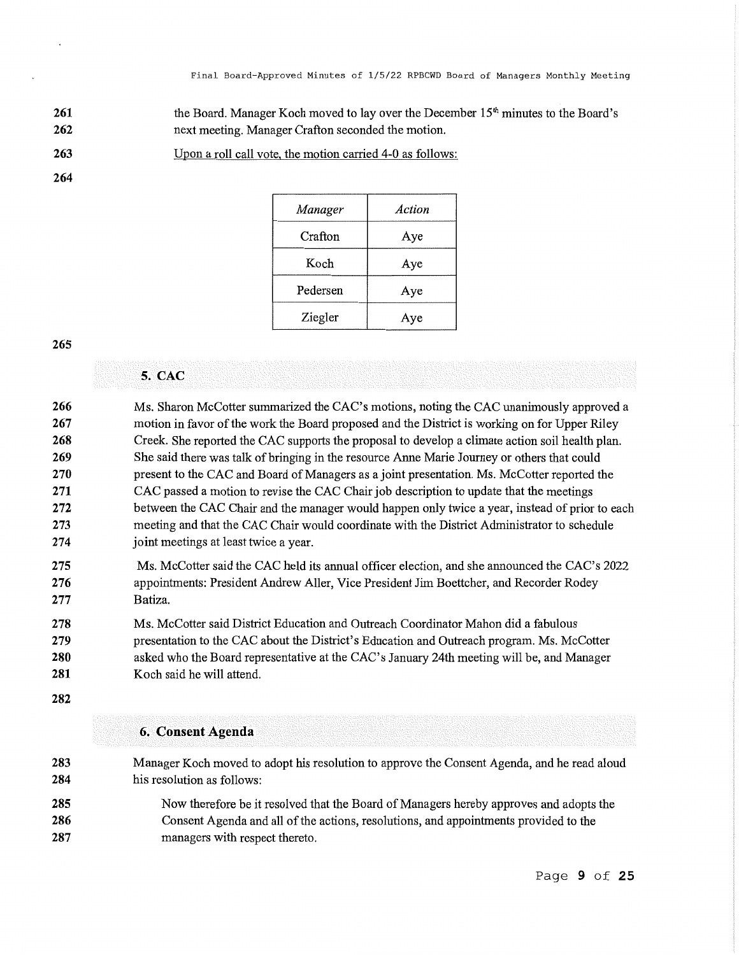- **261 262**  the Board. Manager Koch moved to lay over the December 15<sup>th</sup> minutes to the Board's next meeting. Manager Crafton seconded the motion.
- **263**  Upon a roll call vote, the motion carried 4-0 as follows:

| Manager  | Action |
|----------|--------|
| Crafton  | Aye    |
| Koch     | Aye    |
| Pedersen | Aye    |
| Ziegler  | Aye    |

**265** 

# **5. CAC**

| 266 | Ms. Sharon McCotter summarized the CAC's motions, noting the CAC unanimously approved a         |
|-----|-------------------------------------------------------------------------------------------------|
| 267 | motion in favor of the work the Board proposed and the District is working on for Upper Riley   |
| 268 | Creek. She reported the CAC supports the proposal to develop a climate action soil health plan. |
| 269 | She said there was talk of bringing in the resource Anne Marie Journey or others that could     |
| 270 | present to the CAC and Board of Managers as a joint presentation. Ms. McCotter reported the     |
| 271 | CAC passed a motion to revise the CAC Chair job description to update that the meetings         |
| 272 | between the CAC Chair and the manager would happen only twice a year, instead of prior to each  |
| 273 | meeting and that the CAC Chair would coordinate with the District Administrator to schedule     |
| 274 | joint meetings at least twice a year.                                                           |
| 275 | Ms. McCotter said the CAC held its annual officer election, and she announced the CAC's $2022$  |

- **275 276 277**  Ms. McCotter said the CAC held its annual officer election, and she announced the CAC's 2022 appointments: President Andrew Aller, Vice President Jim Boettcher, and Recorder Rodey Batiza.
- **278 279 280 281**  Ms. McCotter said District Education and Outreach Coordinator Mahon did a fabulous presentation to the CAC about the District's Education and Outreach program. Ms. McCotter asked who the Board representative at the CAC's January 24th meeting will be, and Manager Koch said he will attend.
- **282**

## **6. Consent Agenda**

**283 284 285 286 287**  Manager Koch moved to adopt his resolution to approve the Consent Agenda, and he read aloud his resolution as follows: Now therefore be it resolved that the Board of Managers hereby approves and adopts the Consent Agenda and all of the actions, resolutions, and appointments provided to the managers with respect thereto.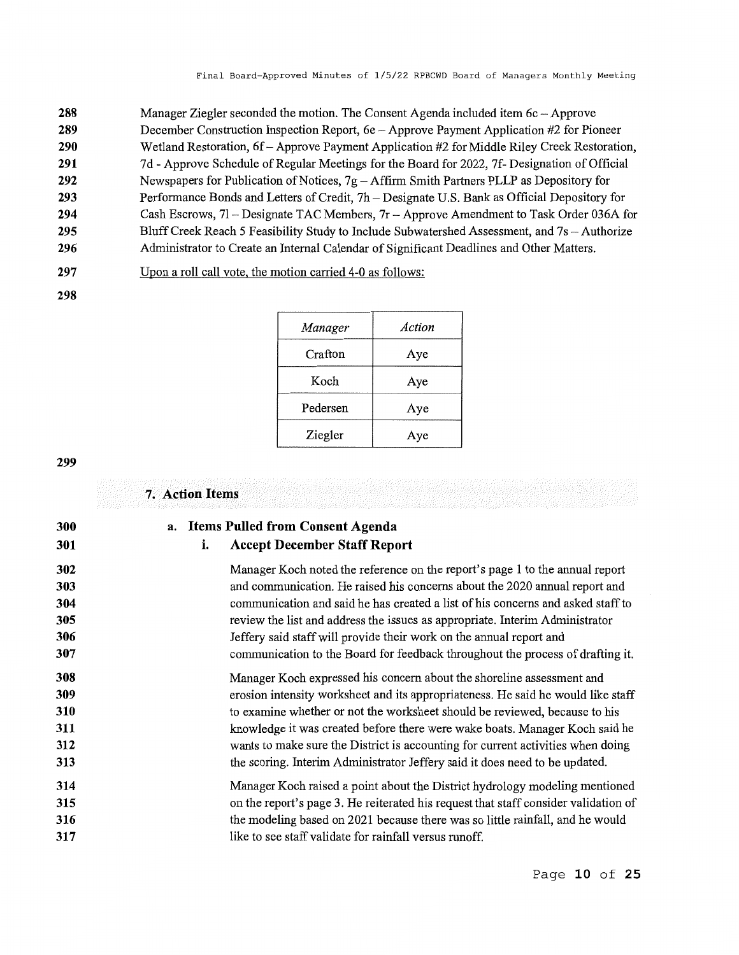| 288 | Manager Ziegler seconded the motion. The Consent Agenda included item 6c - Approve            |
|-----|-----------------------------------------------------------------------------------------------|
| 289 | December Construction Inspection Report, 6e - Approve Payment Application #2 for Pioneer      |
| 290 | Wetland Restoration, 6f - Approve Payment Application #2 for Middle Riley Creek Restoration,  |
| 291 | 7d - Approve Schedule of Regular Meetings for the Board for 2022, 7f- Designation of Official |
| 292 | Newspapers for Publication of Notices, $7g - Affirm$ Smith Partners PLLP as Depository for    |
| 293 | Performance Bonds and Letters of Credit, 7h – Designate U.S. Bank as Official Depository for  |
| 294 | Cash Escrows, 71 – Designate TAC Members, 7r – Approve Amendment to Task Order 036A for       |
| 295 | Bluff Creek Reach 5 Feasibility Study to Include Subwatershed Assessment, and 7s - Authorize  |

- **296**  Administrator to Create an Internal Calendar of Significant Deadlines and Other Matters.
- **297**   $U_{\text{POM}}$  a roll call vote, the motion carried  $4-0$  as follows:

| וע | Upon a roll call vote, the motion carried 4-0 as follows: |  |  |
|----|-----------------------------------------------------------|--|--|
|    |                                                           |  |  |

*Manager Action*  Crafton | Aye Koch Aye Pedersen Aye Ziegler Aye

**299** 

| 300 | a. |    | <b>Items Pulled from Consent Agenda</b>                                             |
|-----|----|----|-------------------------------------------------------------------------------------|
| 301 |    | i. | <b>Accept December Staff Report</b>                                                 |
| 302 |    |    | Manager Koch noted the reference on the report's page 1 to the annual report        |
| 303 |    |    | and communication. He raised his concerns about the 2020 annual report and          |
| 304 |    |    | communication and said he has created a list of his concerns and asked staff to     |
| 305 |    |    | review the list and address the issues as appropriate. Interim Administrator        |
| 306 |    |    | Jeffery said staff will provide their work on the annual report and                 |
| 307 |    |    | communication to the Board for feedback throughout the process of drafting it.      |
| 308 |    |    | Manager Koch expressed his concern about the shoreline assessment and               |
| 309 |    |    | erosion intensity worksheet and its appropriateness. He said he would like staff    |
| 310 |    |    | to examine whether or not the worksheet should be reviewed, because to his          |
| 311 |    |    | knowledge it was created before there were wake boats. Manager Koch said he         |
| 312 |    |    | wants to make sure the District is accounting for current activities when doing     |
| 313 |    |    | the scoring. Interim Administrator Jeffery said it does need to be updated.         |
| 314 |    |    | Manager Koch raised a point about the District hydrology modeling mentioned         |
| 315 |    |    | on the report's page 3. He reiterated his request that staff consider validation of |
| 316 |    |    | the modeling based on 2021 because there was so little rainfall, and he would       |
| 317 |    |    | like to see staff validate for rainfall versus runoff.                              |

# Page **10 of 25**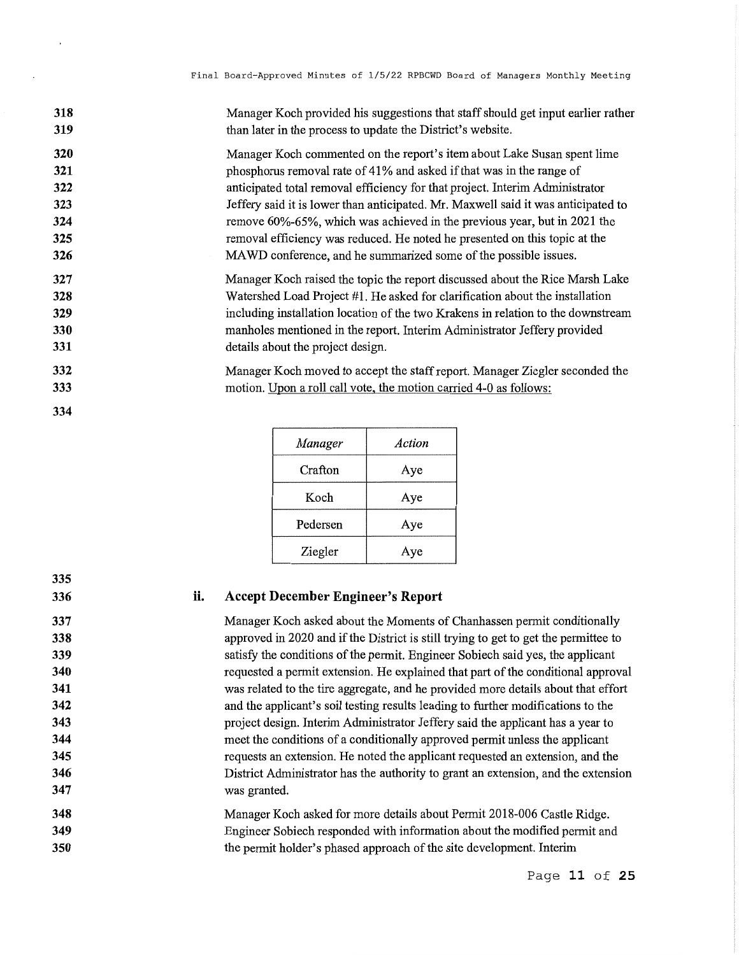| 318 | Manager Koch provided his suggestions that staff should get input earlier rather  |
|-----|-----------------------------------------------------------------------------------|
| 319 | than later in the process to update the District's website.                       |
| 320 | Manager Koch commented on the report's item about Lake Susan spent lime           |
| 321 | phosphorus removal rate of 41% and asked if that was in the range of              |
| 322 | anticipated total removal efficiency for that project. Interim Administrator      |
| 323 | Jeffery said it is lower than anticipated. Mr. Maxwell said it was anticipated to |
| 324 | remove 60%-65%, which was achieved in the previous year, but in 2021 the          |
| 325 | removal efficiency was reduced. He noted he presented on this topic at the        |
| 326 | MAWD conference, and he summarized some of the possible issues.                   |
| 327 | Manager Koch raised the topic the report discussed about the Rice Marsh Lake      |
| 328 | Watershed Load Project #1. He asked for clarification about the installation      |
| 329 | including installation location of the two Krakens in relation to the downstream  |
| 330 | manholes mentioned in the report. Interim Administrator Jeffery provided          |
| 331 | details about the project design.                                                 |
| 332 | Manager Koch moved to accept the staff report. Manager Ziegler seconded the       |
| 333 | motion. Upon a roll call vote, the motion carried 4-0 as follows:                 |

*Manager Action*  Crafton Aye Koch Aye Pedersen Aye Ziegler Aye

|  |  | <b>Accept December Engineer's Report</b> |  |  |
|--|--|------------------------------------------|--|--|
|--|--|------------------------------------------|--|--|

**334** 

**335 336** 

Manager Koch asked about the Moments of Chanhassen permit conditionally approved in 2020 and if the District is still trying to get to get the permittee to satisfy the conditions of the permit. Engineer Sobiech said yes, the applicant requested a permit extension. He explained that part of the conditional approval was related to the tire aggregate, and he provided more details about that effort and the applicant's soil testing results leading to further modifications to the project design. Interim Administrator Jeffery said the applicant has a year to meet the conditions of a conditionally approved permit unless the applicant requests an extension. He noted the applicant requested an extension, and the District Administrator has the authority to grant an extension, and the extension was granted.

**348 349 350**  Manager Koch asked for more details about Permit 2018-006 Castle Ridge. Engineer Sobiech responded with information about the modified permit and the permit holder's phased approach of the site development. Interim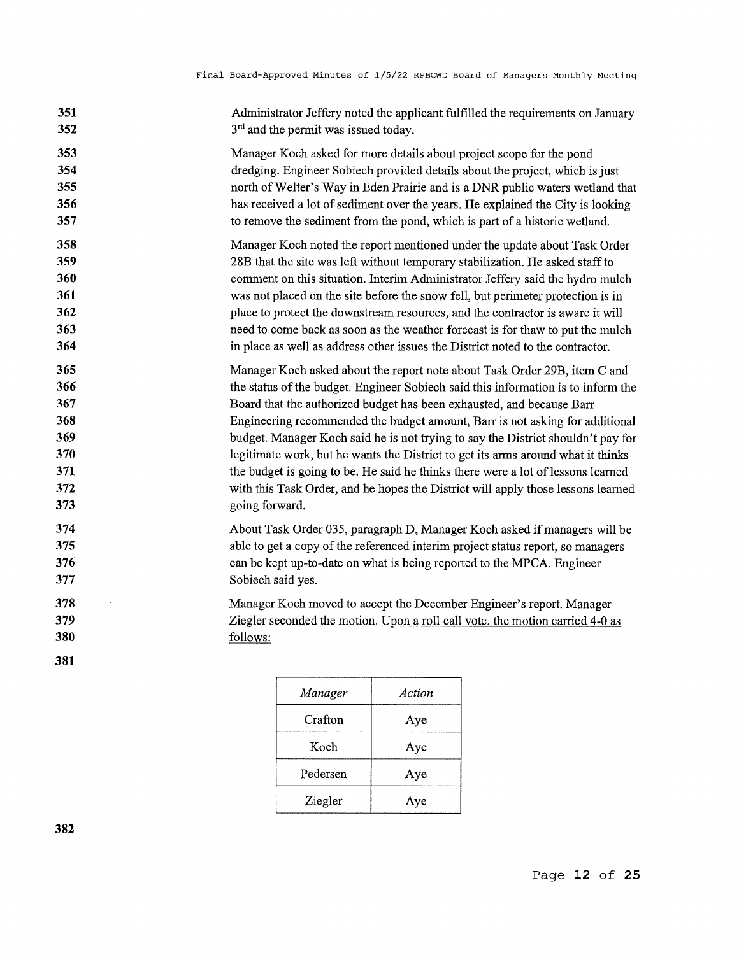| 351                      | Administrator Jeffery noted the applicant fulfilled the requirements on January                                                                                   |
|--------------------------|-------------------------------------------------------------------------------------------------------------------------------------------------------------------|
| 352                      | 3 <sup>rd</sup> and the permit was issued today.                                                                                                                  |
| 353                      | Manager Koch asked for more details about project scope for the pond                                                                                              |
| 354                      | dredging. Engineer Sobiech provided details about the project, which is just                                                                                      |
| 355                      | north of Welter's Way in Eden Prairie and is a DNR public waters wetland that                                                                                     |
| 356                      | has received a lot of sediment over the years. He explained the City is looking                                                                                   |
| 357                      | to remove the sediment from the pond, which is part of a historic wetland.                                                                                        |
| 358                      | Manager Koch noted the report mentioned under the update about Task Order                                                                                         |
| 359                      | 28B that the site was left without temporary stabilization. He asked staff to                                                                                     |
| 360                      | comment on this situation. Interim Administrator Jeffery said the hydro mulch                                                                                     |
| 361                      | was not placed on the site before the snow fell, but perimeter protection is in                                                                                   |
| 362                      | place to protect the downstream resources, and the contractor is aware it will                                                                                    |
| 363                      | need to come back as soon as the weather forecast is for thaw to put the mulch                                                                                    |
| 364                      | in place as well as address other issues the District noted to the contractor.                                                                                    |
| 365                      | Manager Koch asked about the report note about Task Order 29B, item C and                                                                                         |
| 366                      | the status of the budget. Engineer Sobiech said this information is to inform the                                                                                 |
| 367                      | Board that the authorized budget has been exhausted, and because Barr                                                                                             |
| 368                      | Engineering recommended the budget amount, Barr is not asking for additional                                                                                      |
| 369                      | budget. Manager Koch said he is not trying to say the District shouldn't pay for                                                                                  |
| 370                      | legitimate work, but he wants the District to get its arms around what it thinks                                                                                  |
| 371                      | the budget is going to be. He said he thinks there were a lot of lessons learned                                                                                  |
| 372                      | with this Task Order, and he hopes the District will apply those lessons learned                                                                                  |
| 373                      | going forward.                                                                                                                                                    |
| 374                      | About Task Order 035, paragraph D, Manager Koch asked if managers will be                                                                                         |
| 375                      | able to get a copy of the referenced interim project status report, so managers                                                                                   |
| 376                      | can be kept up-to-date on what is being reported to the MPCA. Engineer                                                                                            |
| 377                      | Sobiech said yes.                                                                                                                                                 |
| 378<br>379<br>380<br>381 | Manager Koch moved to accept the December Engineer's report. Manager<br>Ziegler seconded the motion. Upon a roll call vote, the motion carried 4-0 as<br>follows: |

| Manager  | Action |
|----------|--------|
| Crafton  | Aye    |
| Koch     | Aye    |
| Pedersen | Aye    |
| Ziegler  | Ave    |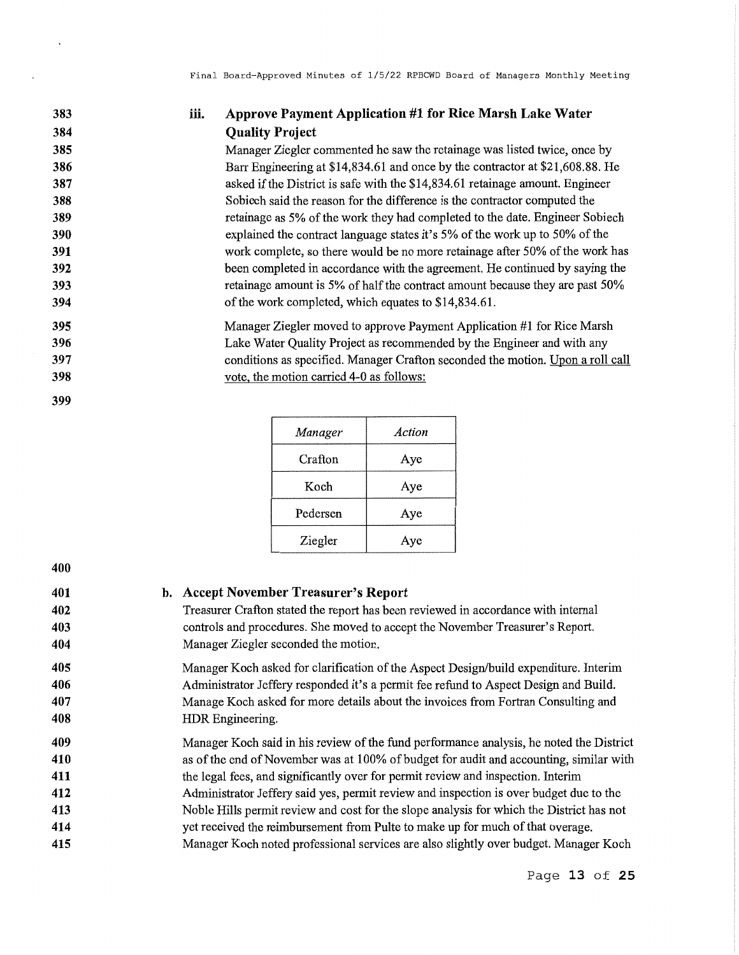# **iii. Approve Payment Application #1 for Rice Marsh Lake Water Quality Project**

Manager Ziegler commented he saw the retainage was listed twice, once by Barr Engineering at \$14,834.61 and once by the contractor at \$21,608.88. He asked if the District is safe with the \$14,834.61 retainage amount. Engineer Sobiech said the reason for the difference is the contractor computed the retainage as 5% of the work they had completed to the date. Engineer Sobiech explained the contract language states it's 5% of the work up to 50% of the work complete, so there would be no more retainage after 50% of the work has been completed in accordance with the agreement. He continued by saying the retainage amount is 5% of half the contract amount because they are past 50% of the work completed, which equates to \$14,834.61.

Manager Ziegler moved to approve Payment Application #1 for Rice Marsh Lake Water Quality Project as recommended by the Engineer and with any conditions as specified. Manager Crafton seconded the motion. Upon a roll call vote, the motion carried 4-0 as follows:

| Manager  | Action |
|----------|--------|
| Crafton  | Aye    |
| Koch     | Aye    |
| Pedersen | Aye    |
| Ziegler  | Aye    |

**400** 

### **b. Accept November Treasurer's Report**

Treasurer Crafton stated the report has been reviewed in accordance with internal controls and procedures. She moved to accept the November Treasurer's Report. Manager Ziegler seconded the motion.

**405 406 407 408**  Manager Koch asked for clarification of the Aspect Design/build expenditure. Interim Administrator Jeffery responded it's a permit fee refund to Aspect Design and Build. Manage Koch asked for more details about the invoices from Fortran Consulting and HDR Engineering.

- **409 410 411 412**  Manager Koch said in his review of the fund performance analysis, he noted the District as of the end of November was at 100% of budget for audit and accounting, similar with the legal fees, and significantly over for permit review and inspection. Interim Administrator Jeffery said yes, permit review and inspection is over budget due to the
- **413**  Noble Hills permit review and cost for the slope analysis for which the District has not
- **414**  yet received the reimbursement from Pulte to make up for much of that overage.
- **415**  Manager Koch noted professional services are also slightly over budget. Manager Koch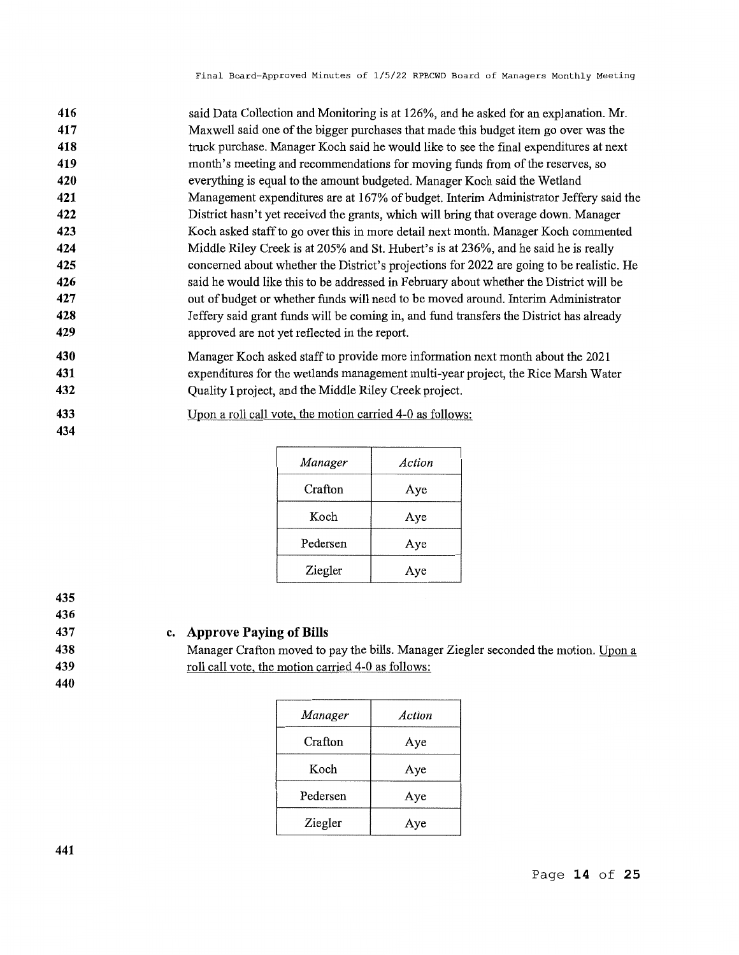| 416 | said Data Collection and Monitoring is at 126%, and he asked for an explanation. Mr.      |
|-----|-------------------------------------------------------------------------------------------|
| 417 | Maxwell said one of the bigger purchases that made this budget item go over was the       |
| 418 | truck purchase. Manager Koch said he would like to see the final expenditures at next     |
| 419 | month's meeting and recommendations for moving funds from of the reserves, so             |
| 420 | everything is equal to the amount budgeted. Manager Koch said the Wetland                 |
| 421 | Management expenditures are at 167% of budget. Interim Administrator Jeffery said the     |
| 422 | District hasn't yet received the grants, which will bring that overage down. Manager      |
| 423 | Koch asked staff to go over this in more detail next month. Manager Koch commented        |
| 424 | Middle Riley Creek is at 205% and St. Hubert's is at 236%, and he said he is really       |
| 425 | concerned about whether the District's projections for 2022 are going to be realistic. He |
| 426 | said he would like this to be addressed in February about whether the District will be    |
| 427 | out of budget or whether funds will need to be moved around. Interim Administrator        |
| 428 | Jeffery said grant funds will be coming in, and fund transfers the District has already   |
| 429 | approved are not yet reflected in the report.                                             |
|     |                                                                                           |

- **430 431 432**  Manager Koch asked staff to provide more information next month about the 2021 expenditures for the wetlands management multi-year project, the Rice Marsh Water Quality I project, and the Middle Riley Creek project.
- **433**  Upon a roll call vote, the motion carried 4-0 as follows:

| Manager  | Action |
|----------|--------|
| Crafton  | Aye    |
| Koch     | Aye    |
| Pedersen | Aye    |
| Ziegler  | Aye    |

**434** 

**436 437** 

# **c. Approve Paying of Bills**

Manager Crafton moved to pay the bills. Manager Ziegler seconded the motion. Upon a roll call vote, the motion carried 4-0 as follows:

**439 440** 

| Manager  | Action |
|----------|--------|
| Crafton  | Aye    |
| Koch     | Aye    |
| Pedersen | Aye    |
| Ziegler  | Aye    |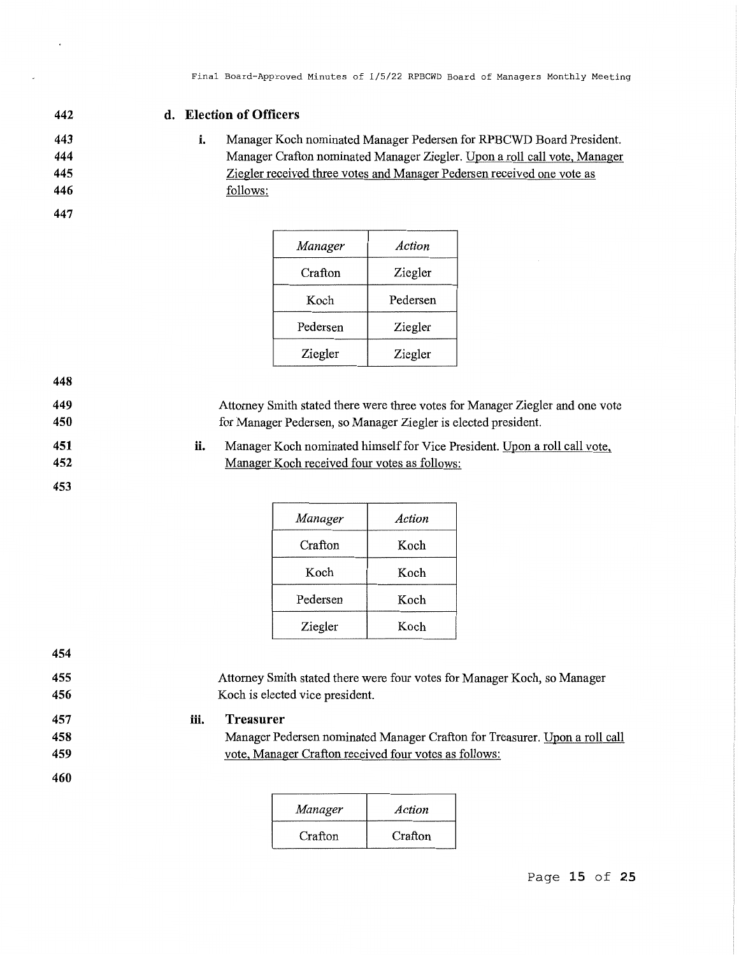**442 443** 

**444 445 446**  **d. Election of Officers** 

**i.**  Manager Koch nominated Manager Pedersen for RPBCWD Board President. Manager Crafton nominated Manager Ziegler. Upon a roll call vote, Manager Ziegler received three votes and Manager Pedersen received one vote as follows:

|  |  |  | ۰.<br>× |  |
|--|--|--|---------|--|
|--|--|--|---------|--|

| Manager  | Action   |
|----------|----------|
| Crafton  | Ziegler  |
| Koch     | Pedersen |
| Pedersen | Ziegler  |
| Ziegler  | Ziegler  |

**448 449** 

Attorney Smith stated there were three votes for Manager Ziegler and one vote for Manager Pedersen, so Manager Ziegler is elected president.

**ii.**  Manager Koch nominated himself for Vice President. Upon a roll call vote, Manager Koch received four votes as follows:

| Manager  | Action |
|----------|--------|
| Crafton  | Koch   |
| Koch     | Koch   |
| Pedersen | Koch   |
| Ziegler  | Koch   |

**454 455 456 457 458 459 460 iii.**  Attorney Smith stated there were four votes for Manager Koch, so Manager Koch is elected vice president. **Treasurer**  Manager Pedersen nominated Manager Crafton for Treasurer. Upon a roll call vote, Manager Crafton received four votes as follows:

| Manager | Action  |
|---------|---------|
| Crafton | Crafton |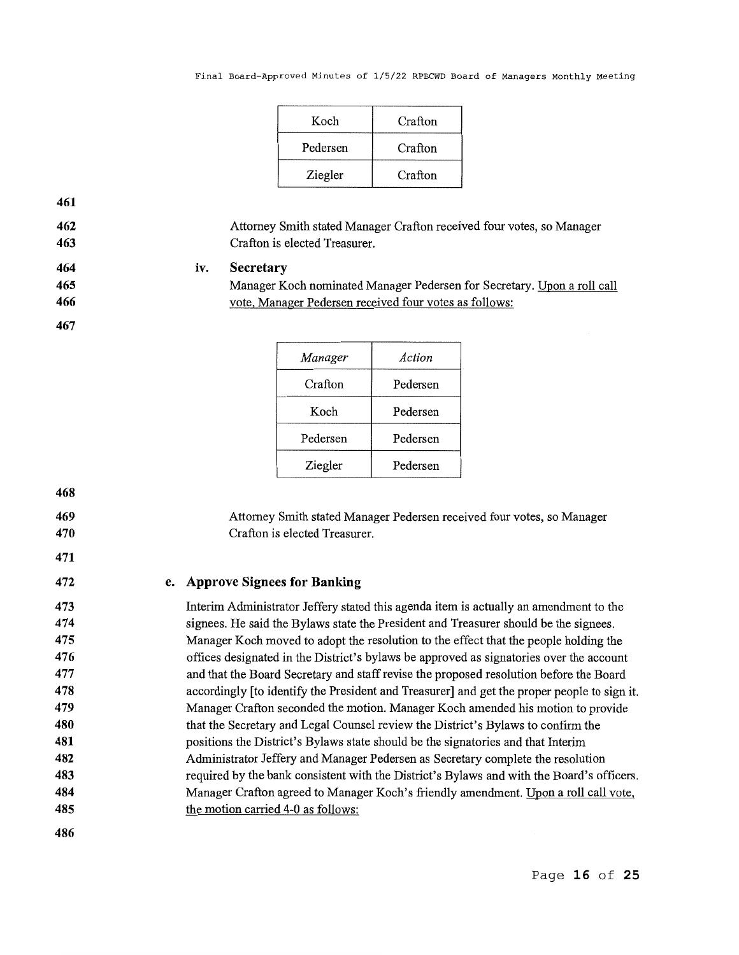| Koch     | Crafton |
|----------|---------|
| Pedersen | Crafton |
| Ziegler  | Crafton |

**iv.**  Attorney Smith stated Manager Crafton received four votes, so Manager Crafton is elected Treasurer. **Secretary** 

> Manager Koch nominated Manager Pedersen for Secretary. Upon a roll call vote, Manager Pedersen received four votes as follows:

| Manager  | Action   |
|----------|----------|
| Crafton  | Pedersen |
| Koch     | Pedersen |
| Pedersen | Pedersen |
| Ziegler  | Pedersen |

**468** 

**469 470** 

**471** 

**461 462 463** 

> Attorney Smith stated Manager Pedersen received four votes, so Manager Crafton is elected Treasurer.

# **e. Approve Signees for Banking**

Interim Administrator Jeffery stated this agenda item is actually an amendment to the signees. He said the Bylaws state the President and Treasurer should be the signees. Manager Koch moved to adopt the resolution to the effect that the people holding the offices designated in the District's bylaws be approved as signatories over the account and that the Board Secretary and staff revise the proposed resolution before the Board accordingly [to identify the President and Treasurer] and get the proper people to sign it. Manager Crafton seconded the motion. Manager Koch amended his motion to provide that the Secretary and Legal Counsel review the District's Bylaws to confirm the positions the District's Bylaws state should be the signatories and that Interim Administrator Jeffery and Manager Pedersen as Secretary complete the resolution required by the bank consistent with the District's Bylaws and with the Board's officers. Manager Crafton agreed to Manager Koch's friendly amendment. Upon a roll call vote, the motion carried 4-0 as follows: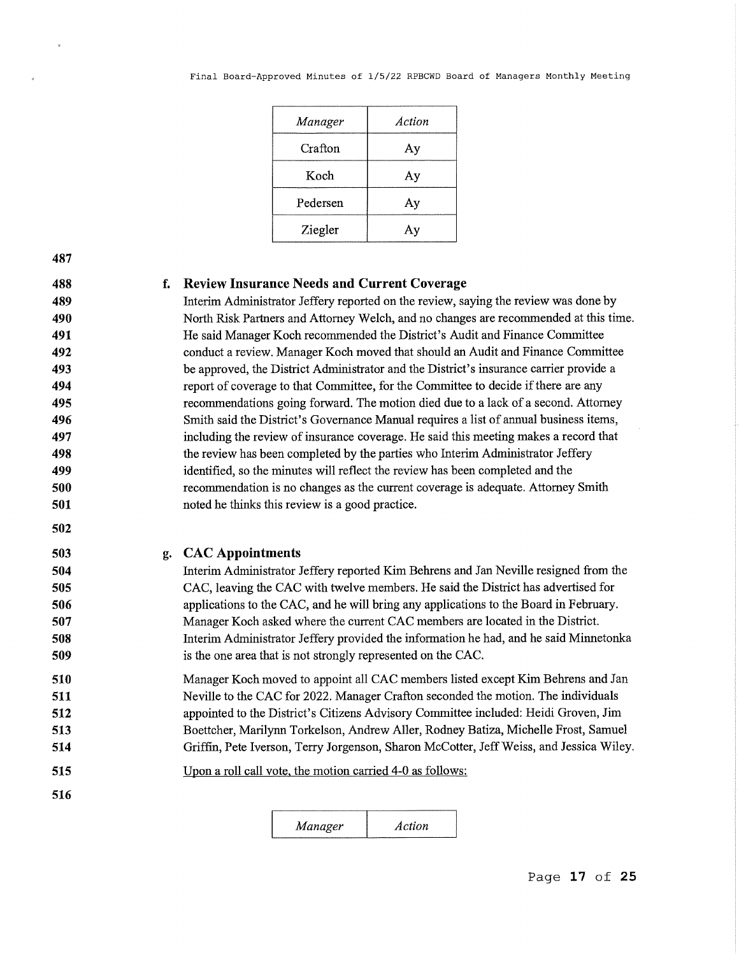| Manager  | Action |
|----------|--------|
| Crafton  | Aу     |
| Koch     | Aу     |
| Pedersen | Aу     |
| Ziegler  | Ay     |

**488 489** 

## **f. Review Insurance Needs and Current Coverage**

Interim Administrator Jeffery reported on the review, saying the review was done by North Risk Partners and Attorney Welch, and no changes are recommended at this time. He said Manager Koch recommended the District's Audit and Finance Committee conduct a review. Manager Koch moved that should an Audit and Finance Committee be approved, the District Administrator and the District's insurance carrier provide a report of coverage to that Committee, for the Committee to decide if there are any recommendations going forward. The motion died due to a lack of a second. Attorney Smith said the District's Governance Manual requires a list of annual business items, including the review of insurance coverage. He said this meeting makes a record that the review has been completed by the parties who Interim Administrator Jeffery identified, so the minutes will reflect the review has been completed and the recommendation is no changes as the current coverage is adequate. Attorney Smith noted he thinks this review is a good practice.

**502 503** 

# **g. CAC Appointments**

Interim Administrator Jeffery reported Kim Behrens and Jan Neville resigned from the CAC, leaving the CAC with twelve members. He said the District has advertised for applications to the CAC, and he will bring any applications to the Board in February. Manager Koch asked where the current CAC members are located in the District. Interim Administrator Jeffery provided the information he had, and he said Minnetonka is the one area that is not strongly represented on the CAC.

**510 511 512 513 514**  Manager Koch moved to appoint all CAC members listed except Kim Behrens and Jan Neville to the CAC for 2022. Manager Crafton seconded the motion. The individuals appointed to the District's Citizens Advisory Committee included: Heidi Groven, Jim Boettcher, Marilynn Torkelson, Andrew Aller, Rodney Batiza, Michelle Frost, Samuel Griffin, Pete Iverson, Terry Jorgenson, Sharon McCotter, Jeff Weiss, and Jessica Wiley.

**515**  Upon a roll call vote, the motion carried 4-0 as follows:

**516** 

*Manager Action*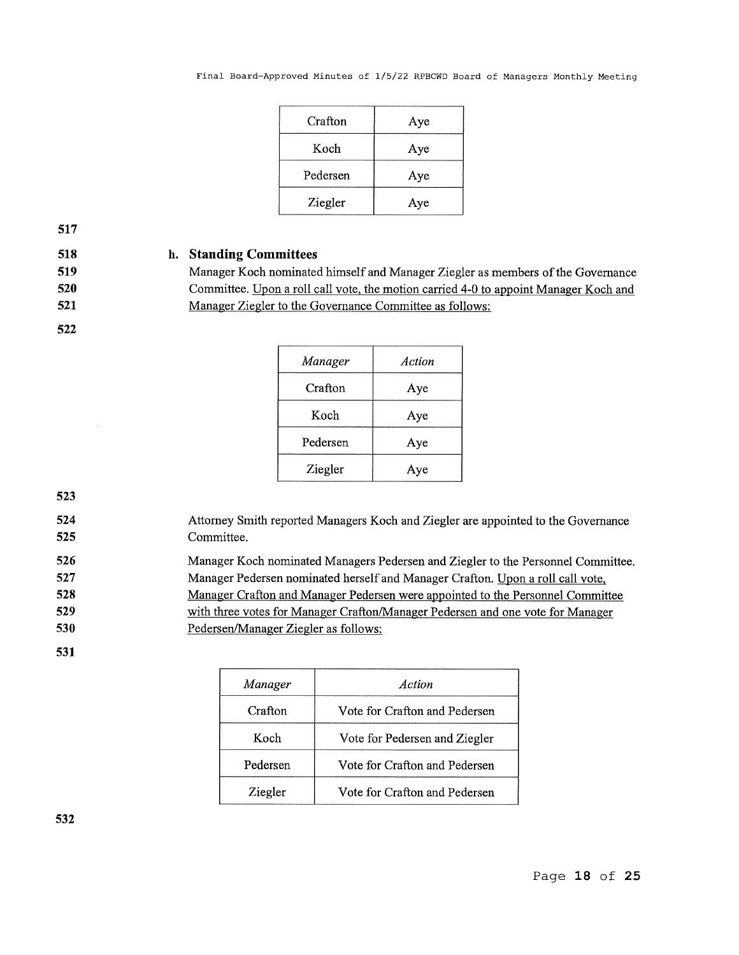| Crafton  | Aye |
|----------|-----|
| Koch     | Aye |
| Pedersen | Aye |
| Ziegler  | Aye |

# **518 519**

**520** 

**521** 

**h. Standing Committees** 

Manager Koch nominated himself and Manager Ziegler as members of the Governance Committee. Upon a roll call vote, the motion carried 4-0 to appoint Manager Koch and Manager Ziegler to the Governance Committee as follows:

**522** 

| Manager  | Action |
|----------|--------|
| Crafton  | Aye    |
| Koch     | Aye    |
| Pedersen | Aye    |
| Ziegler  | Aye    |

**523 524** 

**525** 

Attorney Smith reported Managers Koch and Ziegler are appointed to the Governance Committee.

**526 527 528 529 530**  Manager Koch nominated Managers Pedersen and Ziegler to the Personnel Committee. Manager Pedersen nominated herself and Manager Crafton. Upon a roll call vote, Manager Crafton and Manager Pedersen were appointed to the Personnel Committee with three votes for Manager Crafton/Manager Pedersen and one vote for Manager Pedersen/Manager Ziegler as follows:

**531** 

| Manager  | Action                        |
|----------|-------------------------------|
| Crafton  | Vote for Crafton and Pedersen |
| Koch     | Vote for Pedersen and Ziegler |
| Pedersen | Vote for Crafton and Pedersen |
| Ziegler  | Vote for Crafton and Pedersen |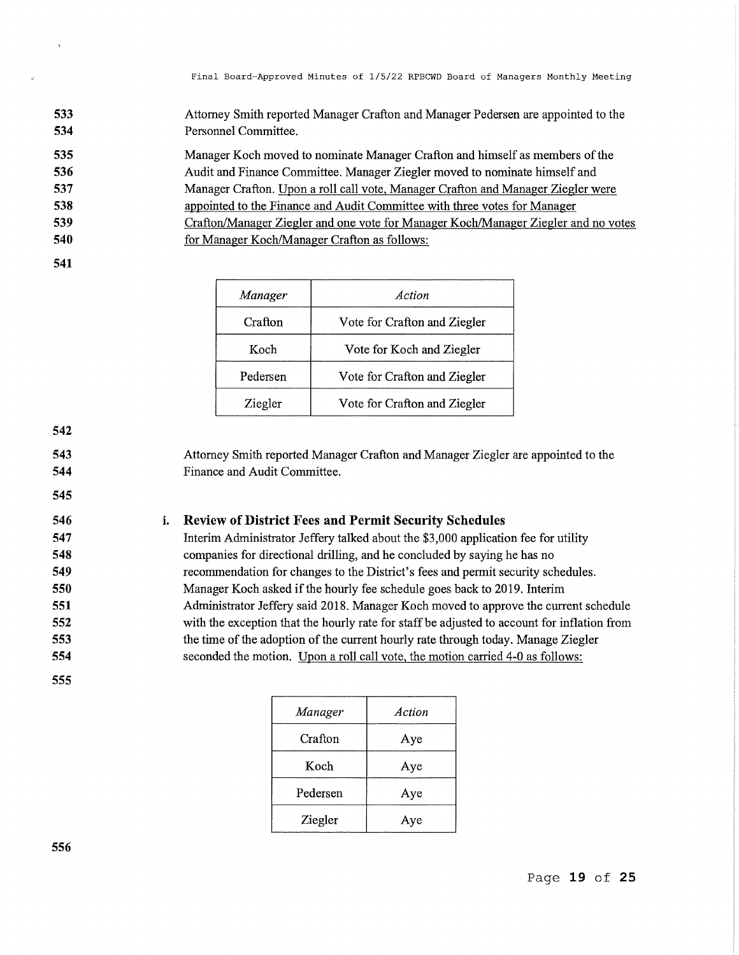**533 534**  Attorney Smith reported Manager Crafton and Manager Pedersen are appointed to the Personnel Committee.

Manager Koch moved to nominate Manager Crafton and himself as members of the Audit and Finance Committee. Manager Ziegler moved to nominate himself and Manager Crafton. Upon a roll call vote, Manager Crafton and Manager Ziegler were appointed to the Finance and Audit Committee with three votes for Manager Crafton/Manager Ziegler and one vote for Manager Koch/Manager Ziegler and no votes

- for Manager Koch/Manager Crafton as follows:
- **541**

| Manager  | Action                       |
|----------|------------------------------|
| Crafton  | Vote for Crafton and Ziegler |
| Koch     | Vote for Koch and Ziegler    |
| Pedersen | Vote for Crafton and Ziegler |
| Ziegler  | Vote for Crafton and Ziegler |

Attorney Smith reported Manager Crafton and Manager Ziegler are appointed to the Finance and Audit Committee.

#### **i. Review of District Fees and Permit Security Schedules**

Interim Administrator Jeffery talked about the \$3,000 application fee for utility companies for directional drilling, and he concluded by saying he has no recommendation for changes to the District's fees and permit security schedules. Manager Koch asked if the hourly fee schedule goes back to 2019. Interim Administrator Jeffery said 2018. Manager Koch moved to approve the current schedule with the exception that the hourly rate for staff be adjusted to account for inflation from the time of the adoption of the current hourly rate through today. Manage Ziegler seconded the motion. Upon a roll call vote, the motion carried 4-0 as follows:

| Manager  | Action |
|----------|--------|
| Crafton  | Aye    |
| Koch     | Aye    |
| Pedersen | Aye    |
| Ziegler  | Aye    |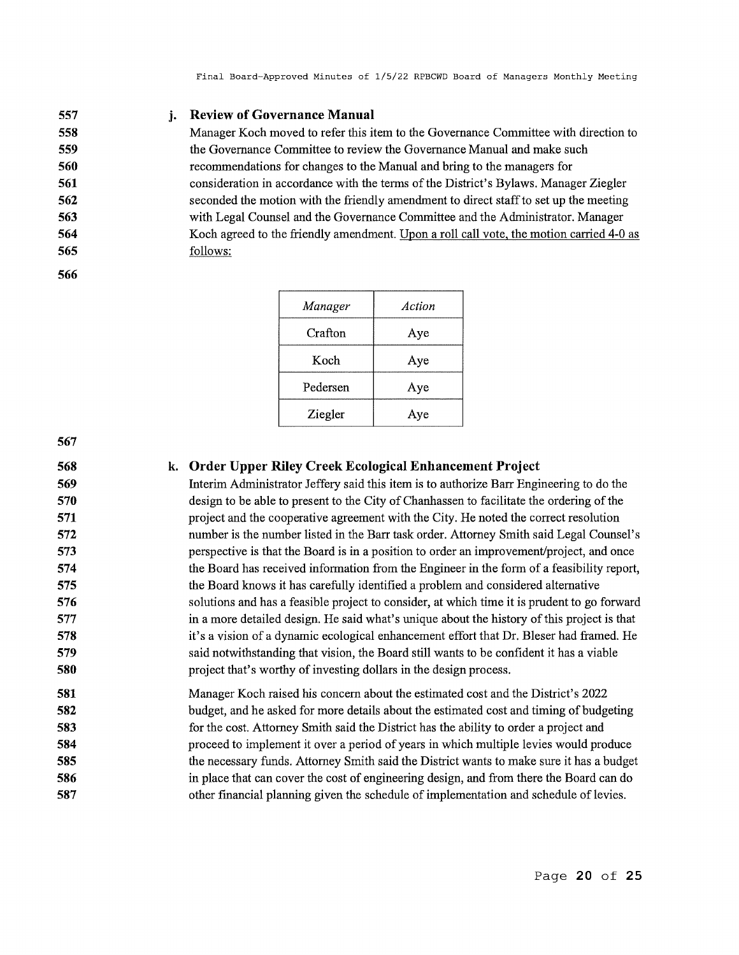#### **557 j. Review of Governance Manual**

Manager Koch moved to refer this item to the Governance Committee with direction to the Governance Committee to review the Governance Manual and make such recommendations for changes to the Manual and bring to the managers for consideration in accordance with the terms of the District's Bylaws. Manager Ziegler seconded the motion with the friendly amendment to direct staff to set up the meeting with Legal Counsel and the Governance Committee and the Administrator. Manager Koch agreed to the friendly amendment. Upon a roll call vote, the motion carried 4-0 as follows:

| Manager  | Action |
|----------|--------|
| Crafton  | Aye    |
| Koch     | Aye    |
| Pedersen | Aye    |
| Ziegler  | Aye    |

**567** 

**568 569** 

### **k. Order Upper Riley Creek Ecological Enhancement Project**

Interim Administrator Jeffery said this item is to authorize Barr Engineering to do the design to be able to present to the City of Chanhassen to facilitate the ordering of the project and the cooperative agreement with the City. He noted the correct resolution number is the number listed in the Barr task order. Attorney Smith said Legal Counsel's perspective is that the Board is in a position to order an improvement/project, and once the Board has received information from the Engineer in the form of a feasibility report, the Board knows it has carefully identified a problem and considered alternative solutions and has a feasible project to consider, at which time it is prudent to go forward in a more detailed design. He said what's unique about the history of this project is that it's a vision of a dynamic ecological enhancement effort that Dr. Bleser had framed. He said notwithstanding that vision, the Board still wants to be confident it has a viable project that's worthy of investing dollars in the design process.

**581 582 583 584 585 586 587**  Manager Koch raised his concern about the estimated cost and the District's 2022 budget, and he asked for more details about the estimated cost and timing of budgeting for the cost. Attorney Smith said the District has the ability to order a project and proceed to implement it over a period of years in which multiple levies would produce the necessary funds. Attorney Smith said the District wants to make sure it has a budget in place that can cover the cost of engineering design, and from there the Board can do other fmancial planning given the schedule of implementation and schedule of levies.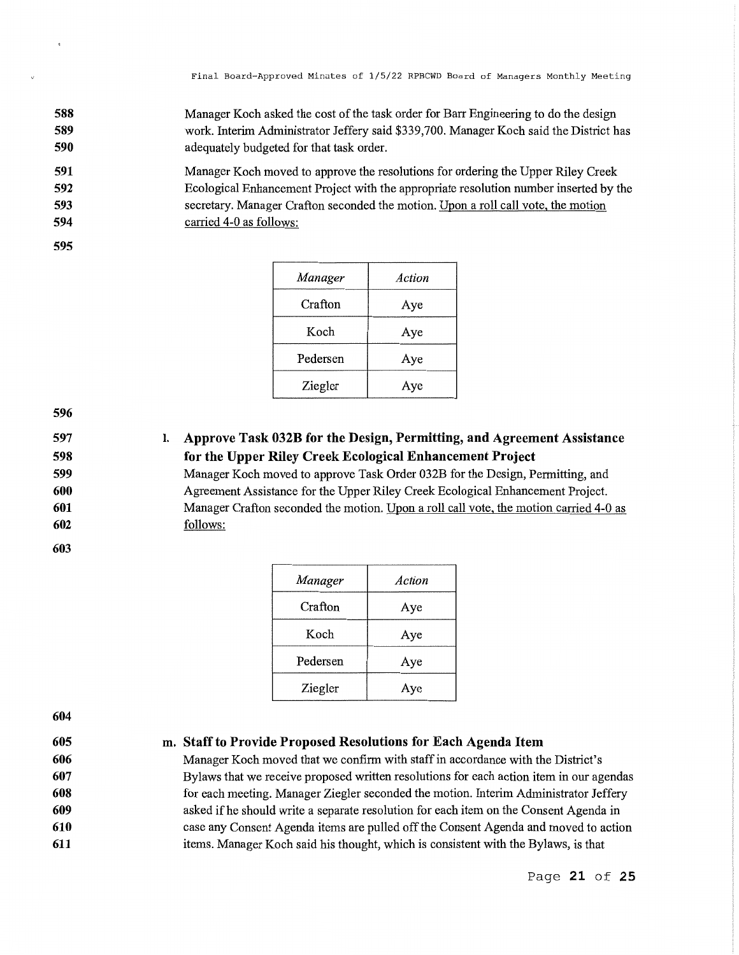**588 589 590**  Manager Koch asked the cost of the task order for Barr Engineering to do the design work. Interim Administrator Jeffery said \$339,700. Manager Koch said the District has adequately budgeted for that task order.

**591 592 593 594**  Manager Koch moved to approve the resolutions for ordering the Upper Riley Creek Ecological Enhancement Project with the appropriate resolution number inserted by the secretary. Manager Crafton seconded the motion. Upon a roll call vote, the motion carried 4-0 as follows:

**595** 

| Manager  | Action |
|----------|--------|
| Crafton  | Aye    |
| Koch     | Aye    |
| Pedersen | Aye    |
| Ziegler  | Aye    |

**596** 

**597 598 599**  I. **Approve Task 032B for the Design, Permitting, and Agreement Assistance for the Upper Riley Creek Ecological Enhancement Project** 

Manager Koch moved to approve Task Order 032B for the Design, Permitting, and Agreement Assistance for the Upper Riley Creek Ecological Enhancement Project. Manager Crafton seconded the motion. Upon a roll call vote, the motion carried 4-0 as follows:

**603** 

**600 601 602** 

| Manager  | Action |
|----------|--------|
| Crafton  | Aye    |
| Koch     | Aye    |
| Pedersen | Aye    |
| Ziegler  | Aye    |

**604 605** 

## **m. Staff to Provide Proposed Resolutions for Each Agenda Item**

Manager Koch moved that we confirm with staff in accordance with the District's Bylaws that we receive proposed written resolutions for each action item in our agendas for each meeting. Manager Ziegler seconded the motion. Interim Administrator Jeffery asked if he should write a separate resolution for each item on the Consent Agenda in case any Consent Agenda items are pulled off the Consent Agenda and moved to action items. Manager Koch said his thought, which is consistent with the Bylaws, is that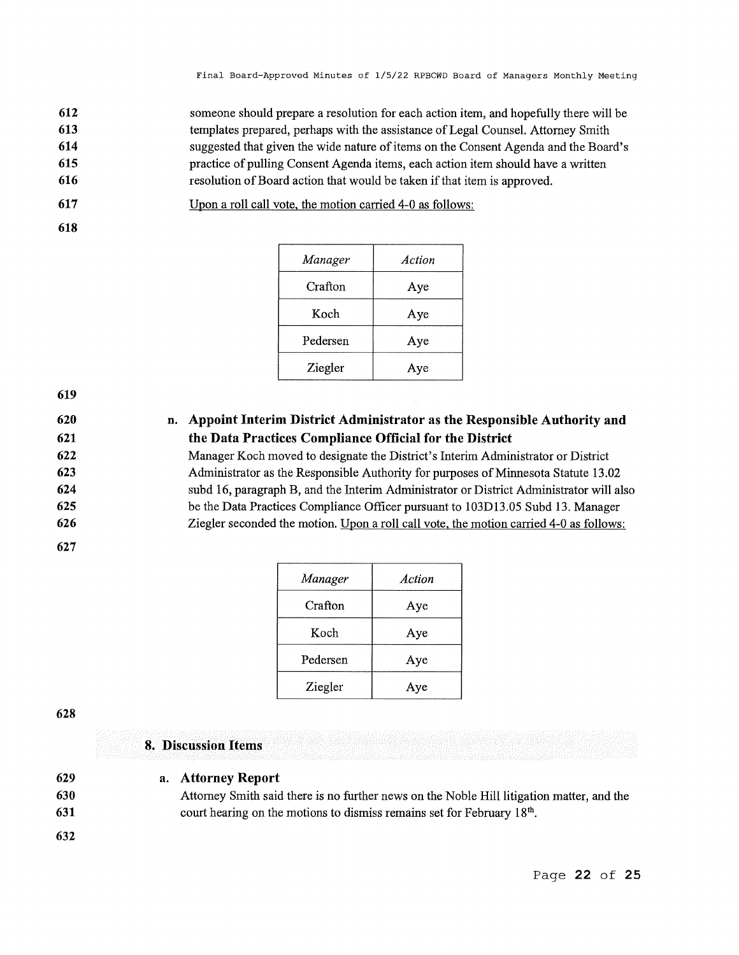**612 613 614 615 616**  someone should prepare a resolution for each action item, and hopefully there will be templates prepared, perhaps with the assistance of Legal Counsel. Attorney Smith suggested that given the wide nature of items on the Consent Agenda and the Board's practice of pulling Consent Agenda items, each action item should have a written resolution of Board action that would be taken if that item is approved.

**617**  Upon a roll call vote, the motion carried 4-0 as follows:

**618** 

| Upon a roll call vote, the motion carried 4-0 as follows: |  |  |  |
|-----------------------------------------------------------|--|--|--|
|                                                           |  |  |  |

| Manager  | Action |
|----------|--------|
| Crafton  | Aye    |
| Koch     | Aye    |
| Pedersen | Aye    |
| Ziegler  | Aye    |

**619** 

**620 621 622 623 624 625 626 n. Appoint Interim District Administrator as the Responsible Authority and the Data Practices Compliance Official for the District**  Manager Koch moved to designate the District's Interim Administrator or District Administrator as the Responsible Authority for purposes of Minnesota Statute 13.02 subd 16, paragraph B, and the Interim Administrator or District Administrator will also be the Data Practices Compliance Officer pursuant to 103Dl3.05 Subd 13. Manager Ziegler seconded the motion. Upon a roll call vote, the motion carried 4-0 as follows:

**627** 

| Manager  | Action |
|----------|--------|
| Crafton  | Aye    |
| Koch     | Aye    |
| Pedersen | Aye    |
| Ziegler  | Aye    |

**628** 

**8. Discussion Items** 

| 629 |  | a. Attorney Report |  |
|-----|--|--------------------|--|
|-----|--|--------------------|--|

**630 631**  Attorney Smith said there is no further news on the Noble Hill litigation matter, and the court hearing on the motions to dismiss remains set for February 18<sup>th</sup>.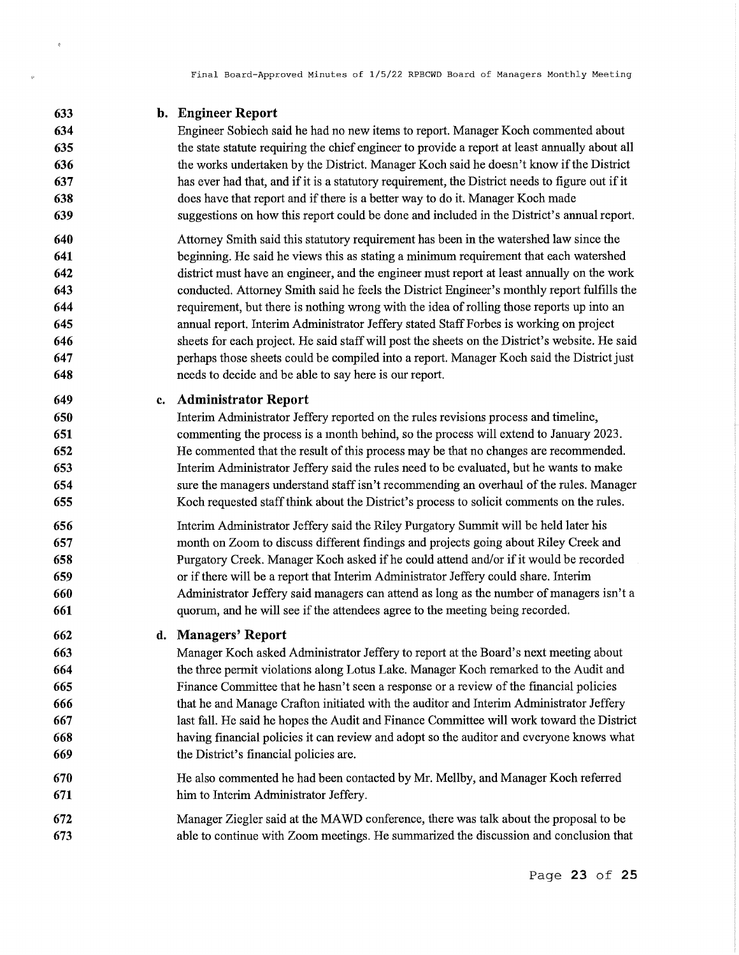**633 b. Engineer Report** 

 $\hat{\mathcal{R}}$ 

- Engineer Sobiech said he had no new items to report. Manager Koch commented about the state statute requiring the chief engineer to provide a report at least annually about all the works undertaken by the District. Manager Koch said he doesn't know if the District has ever had that, and if it is a statutory requirement, the District needs to figure out if it does have that report and if there is a better way to do it. Manager Koch made suggestions on how this report could be done and included in the District's annual report.
- **640 641 642 643 644 645 646 647 648**  Attorney Smith said this statutory requirement has been in the watershed law since the beginning. He said he views this as stating a minimum requirement that each watershed district must have an engineer, and the engineer must report at least annually on the work conducted. Attorney Smith said he feels the District Engineer's monthly report fulfills the requirement, but there is nothing wrong with the idea of rolling those reports up into an annual report. Interim Administrator Jeffery stated Staff Forbes is working on project sheets for each project. He said staff will post the sheets on the District's website. He said perhaps those sheets could be compiled into a report. Manager Koch said the District just needs to decide and be able to say here is our report.
- **649 c. Administrator Report** 
	- Interim Administrator Jeffery reported on the rules revisions process and timeline, commenting the process is a month behind, so the process will extend to January 2023. He commented that the result of this process may be that no changes are recommended. Interim Administrator Jeffery said the rules need to be evaluated, but he wants to make sure the managers understand staff isn't recommending an overhaul of the rules. Manager Koch requested staff think about the District's process to solicit comments on the rules.
- **656 657 658 659 660 661**  Interim Administrator Jeffery said the Riley Purgatory Summit will be held later his month on Zoom to discuss different findings and projects going about Riley Creek and Purgatory Creek. Manager Koch asked ifhe could attend and/or if it would be recorded or if there will be a report that Interim Administrator Jeffery could share. Interim Administrator Jeffery said managers can attend as long as the number of managers isn't a quorum, and he will see if the attendees agree to the meeting being recorded.

#### **662 d. Managers' Report**

- **663 664 665 666 667 668 669**  Manager Koch asked Administrator Jeffery to report at the Board's next meeting about the three permit violations along Lotus Lake. Manager Koch remarked to the Audit and Finance Committee that he hasn't seen a response or a review of the financial policies that he and Manage Crafton initiated with the auditor and Interim Administrator Jeffery last fall. He said he hopes the Audit and Finance Committee will work toward the District having financial policies it can review and adopt so the auditor and everyone knows what the District's financial policies are.
- **670 671**  He also commented he had been contacted by Mr. Mellby, and Manager Koch referred him to Interim Administrator Jeffery.
- **672 673**  Manager Ziegler said at the MAWD conference, there was talk about the proposal to be able to continue with Zoom meetings. He summarized the discussion and conclusion that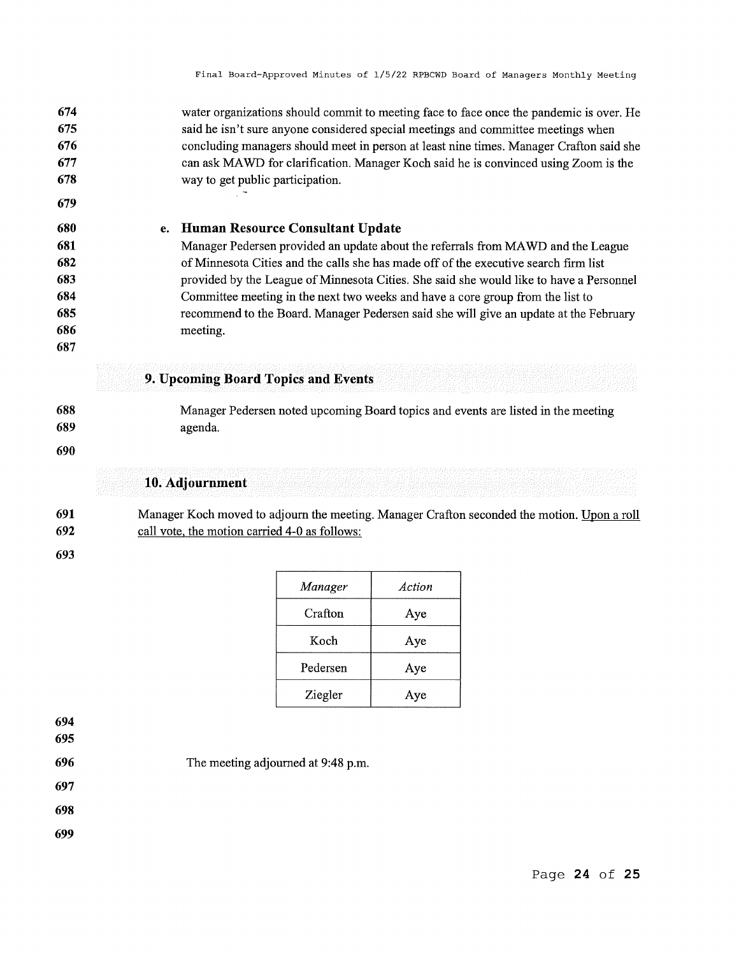| 674 | water organizations should commit to meeting face to face once the pandemic is over. He |
|-----|-----------------------------------------------------------------------------------------|
| 675 | said he isn't sure anyone considered special meetings and committee meetings when       |
| 676 | concluding managers should meet in person at least nine times. Manager Crafton said she |
| 677 | can ask MAWD for clarification. Manager Koch said he is convinced using Zoom is the     |
| 678 | way to get public participation.                                                        |

- **680 681 682 683 684 685 e. Human Resource Consultant Update**  Manager Pedersen provided an update about the referrals from MA WD and the League of Minnesota Cities and the calls she has made off of the executive search firm list provided by the League of Minnesota Cities. She said she would like to have a Personnel Committee meeting in the next two weeks and have a core group from the list to recommend to the Board. Manager Pedersen said she will give an update at the February
- **686**
- **687**

**679** 

# **9. Upcoming Board Topics and Events**

- **688 689**  Manager Pedersen noted upcoming Board topics and events are listed in the meeting agenda.
- **690**

# **10. Adjournment**

meeting.

**691 692**  Manager Koch moved to adjourn the meeting. Manager Crafton seconded the motion. Upon a roll call vote, the motion carried 4-0 as follows:

| Manager  | Action |
|----------|--------|
| Crafton  | Aye    |
| Koch     | Aye    |
| Pedersen | Aye    |
| Ziegler  | Aye    |